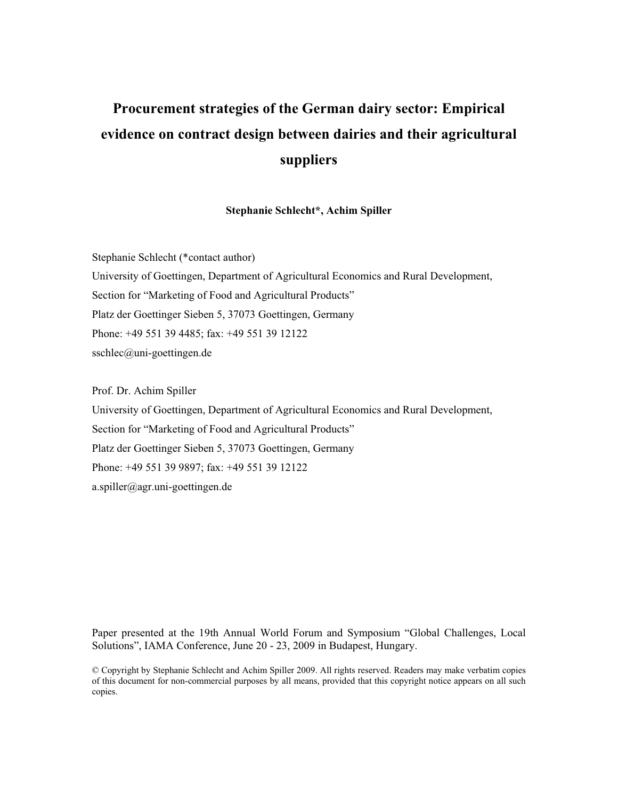# **Procurement strategies of the German dairy sector: Empirical evidence on contract design between dairies and their agricultural suppliers**

## **Stephanie Schlecht\*, Achim Spiller**

Stephanie Schlecht (\*contact author) University of Goettingen, Department of Agricultural Economics and Rural Development, Section for "Marketing of Food and Agricultural Products" Platz der Goettinger Sieben 5, 37073 Goettingen, Germany Phone: +49 551 39 4485; fax: +49 551 39 12122 sschlec@uni-goettingen.de

Prof. Dr. Achim Spiller University of Goettingen, Department of Agricultural Economics and Rural Development, Section for "Marketing of Food and Agricultural Products" Platz der Goettinger Sieben 5, 37073 Goettingen, Germany Phone: +49 551 39 9897; fax: +49 551 39 12122 a.spiller@agr.uni-goettingen.de

Paper presented at the 19th Annual World Forum and Symposium "Global Challenges, Local Solutions", IAMA Conference, June 20 - 23, 2009 in Budapest, Hungary.

© Copyright by Stephanie Schlecht and Achim Spiller 2009. All rights reserved. Readers may make verbatim copies of this document for non-commercial purposes by all means, provided that this copyright notice appears on all such copies.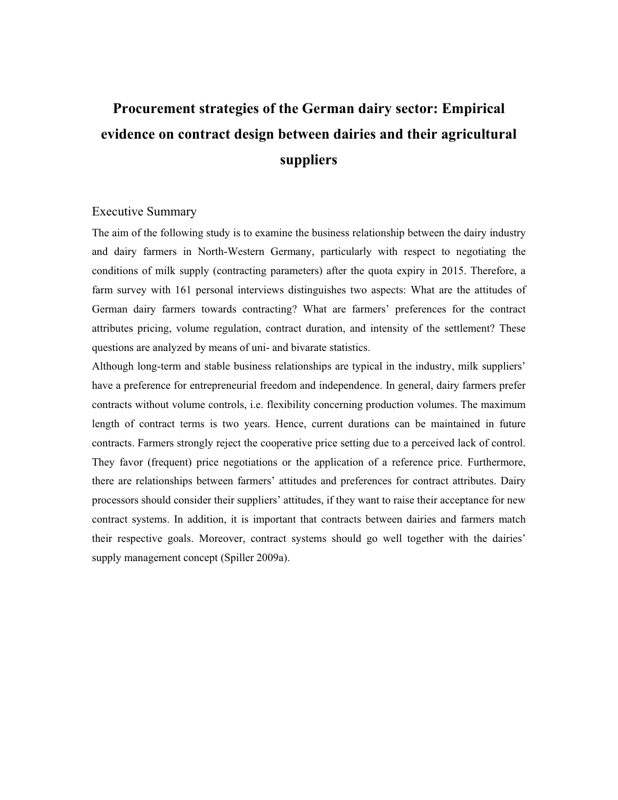# **Procurement strategies of the German dairy sector: Empirical evidence on contract design between dairies and their agricultural suppliers**

# Executive Summary

The aim of the following study is to examine the business relationship between the dairy industry and dairy farmers in North-Western Germany, particularly with respect to negotiating the conditions of milk supply (contracting parameters) after the quota expiry in 2015. Therefore, a farm survey with 161 personal interviews distinguishes two aspects: What are the attitudes of German dairy farmers towards contracting? What are farmers' preferences for the contract attributes pricing, volume regulation, contract duration, and intensity of the settlement? These questions are analyzed by means of uni- and bivarate statistics.

Although long-term and stable business relationships are typical in the industry, milk suppliers' have a preference for entrepreneurial freedom and independence. In general, dairy farmers prefer contracts without volume controls, i.e. flexibility concerning production volumes. The maximum length of contract terms is two years. Hence, current durations can be maintained in future contracts. Farmers strongly reject the cooperative price setting due to a perceived lack of control. They favor (frequent) price negotiations or the application of a reference price. Furthermore, there are relationships between farmers' attitudes and preferences for contract attributes. Dairy processors should consider their suppliers' attitudes, if they want to raise their acceptance for new contract systems. In addition, it is important that contracts between dairies and farmers match their respective goals. Moreover, contract systems should go well together with the dairies' supply management concept (Spiller 2009a).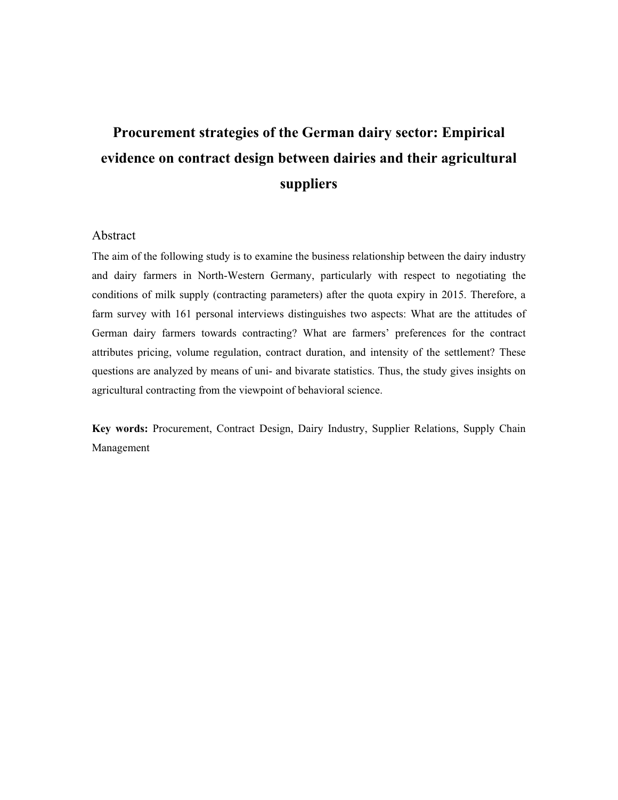# **Procurement strategies of the German dairy sector: Empirical evidence on contract design between dairies and their agricultural suppliers**

# Abstract

The aim of the following study is to examine the business relationship between the dairy industry and dairy farmers in North-Western Germany, particularly with respect to negotiating the conditions of milk supply (contracting parameters) after the quota expiry in 2015. Therefore, a farm survey with 161 personal interviews distinguishes two aspects: What are the attitudes of German dairy farmers towards contracting? What are farmers' preferences for the contract attributes pricing, volume regulation, contract duration, and intensity of the settlement? These questions are analyzed by means of uni- and bivarate statistics. Thus, the study gives insights on agricultural contracting from the viewpoint of behavioral science.

**Key words:** Procurement, Contract Design, Dairy Industry, Supplier Relations, Supply Chain Management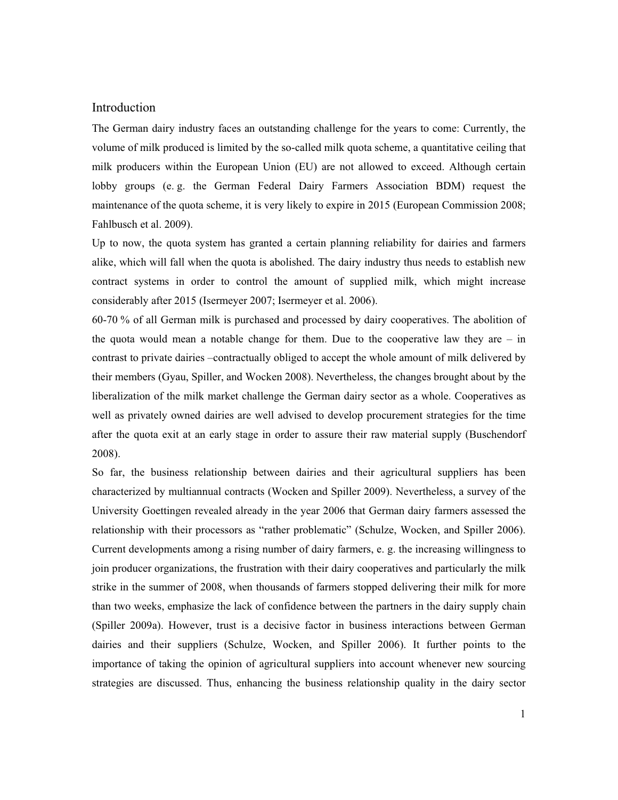# Introduction

The German dairy industry faces an outstanding challenge for the years to come: Currently, the volume of milk produced is limited by the so-called milk quota scheme, a quantitative ceiling that milk producers within the European Union (EU) are not allowed to exceed. Although certain lobby groups (e. g. the German Federal Dairy Farmers Association BDM) request the maintenance of the quota scheme, it is very likely to expire in 2015 (European Commission 2008; Fahlbusch et al. 2009).

Up to now, the quota system has granted a certain planning reliability for dairies and farmers alike, which will fall when the quota is abolished. The dairy industry thus needs to establish new contract systems in order to control the amount of supplied milk, which might increase considerably after 2015 (Isermeyer 2007; Isermeyer et al. 2006).

60-70 % of all German milk is purchased and processed by dairy cooperatives. The abolition of the quota would mean a notable change for them. Due to the cooperative law they are  $-$  in contrast to private dairies –contractually obliged to accept the whole amount of milk delivered by their members (Gyau, Spiller, and Wocken 2008). Nevertheless, the changes brought about by the liberalization of the milk market challenge the German dairy sector as a whole. Cooperatives as well as privately owned dairies are well advised to develop procurement strategies for the time after the quota exit at an early stage in order to assure their raw material supply (Buschendorf 2008).

So far, the business relationship between dairies and their agricultural suppliers has been characterized by multiannual contracts (Wocken and Spiller 2009). Nevertheless, a survey of the University Goettingen revealed already in the year 2006 that German dairy farmers assessed the relationship with their processors as "rather problematic" (Schulze, Wocken, and Spiller 2006). Current developments among a rising number of dairy farmers, e. g. the increasing willingness to join producer organizations, the frustration with their dairy cooperatives and particularly the milk strike in the summer of 2008, when thousands of farmers stopped delivering their milk for more than two weeks, emphasize the lack of confidence between the partners in the dairy supply chain (Spiller 2009a). However, trust is a decisive factor in business interactions between German dairies and their suppliers (Schulze, Wocken, and Spiller 2006). It further points to the importance of taking the opinion of agricultural suppliers into account whenever new sourcing strategies are discussed. Thus, enhancing the business relationship quality in the dairy sector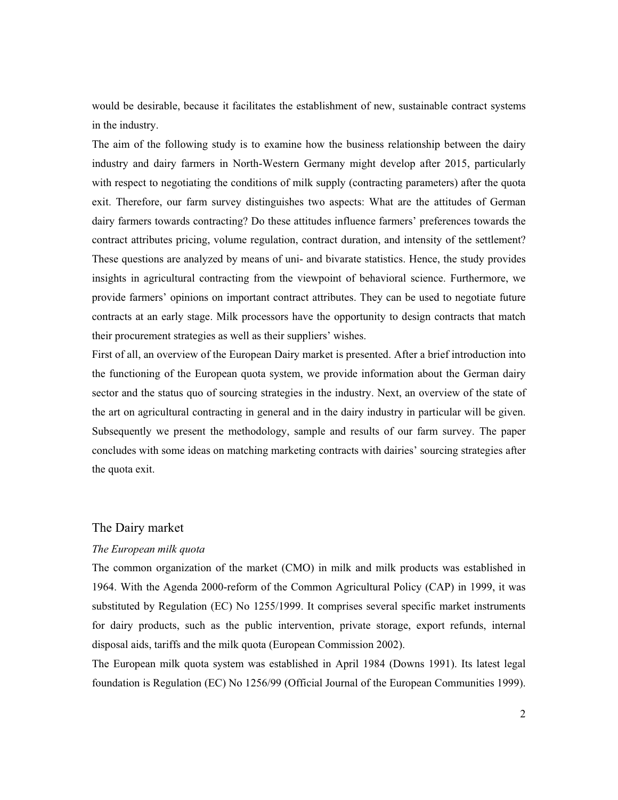would be desirable, because it facilitates the establishment of new, sustainable contract systems in the industry.

The aim of the following study is to examine how the business relationship between the dairy industry and dairy farmers in North-Western Germany might develop after 2015, particularly with respect to negotiating the conditions of milk supply (contracting parameters) after the quota exit. Therefore, our farm survey distinguishes two aspects: What are the attitudes of German dairy farmers towards contracting? Do these attitudes influence farmers' preferences towards the contract attributes pricing, volume regulation, contract duration, and intensity of the settlement? These questions are analyzed by means of uni- and bivarate statistics. Hence, the study provides insights in agricultural contracting from the viewpoint of behavioral science. Furthermore, we provide farmers' opinions on important contract attributes. They can be used to negotiate future contracts at an early stage. Milk processors have the opportunity to design contracts that match their procurement strategies as well as their suppliers' wishes.

First of all, an overview of the European Dairy market is presented. After a brief introduction into the functioning of the European quota system, we provide information about the German dairy sector and the status quo of sourcing strategies in the industry. Next, an overview of the state of the art on agricultural contracting in general and in the dairy industry in particular will be given. Subsequently we present the methodology, sample and results of our farm survey. The paper concludes with some ideas on matching marketing contracts with dairies' sourcing strategies after the quota exit.

## The Dairy market

# *The European milk quota*

The common organization of the market (CMO) in milk and milk products was established in 1964. With the Agenda 2000-reform of the Common Agricultural Policy (CAP) in 1999, it was substituted by Regulation (EC) No 1255/1999. It comprises several specific market instruments for dairy products, such as the public intervention, private storage, export refunds, internal disposal aids, tariffs and the milk quota (European Commission 2002).

The European milk quota system was established in April 1984 (Downs 1991). Its latest legal foundation is Regulation (EC) No 1256/99 (Official Journal of the European Communities 1999).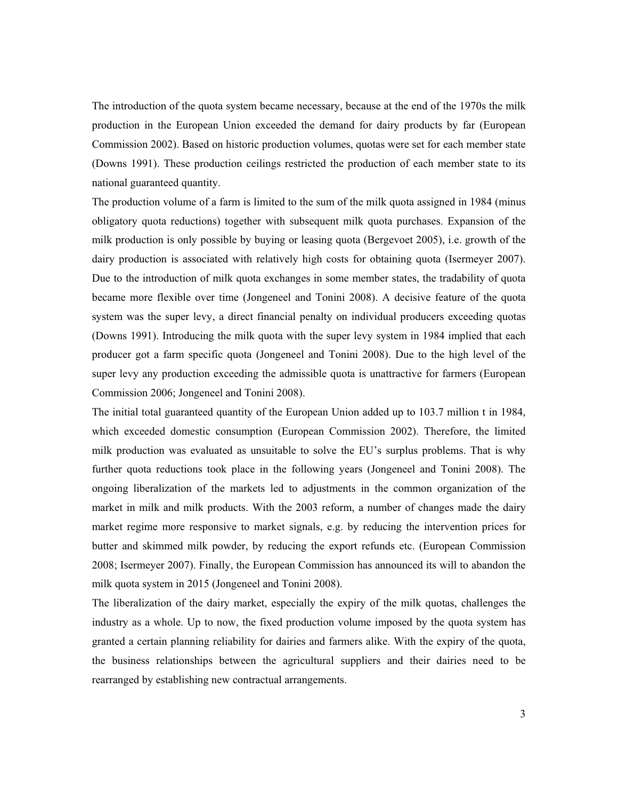The introduction of the quota system became necessary, because at the end of the 1970s the milk production in the European Union exceeded the demand for dairy products by far (European Commission 2002). Based on historic production volumes, quotas were set for each member state (Downs 1991). These production ceilings restricted the production of each member state to its national guaranteed quantity.

The production volume of a farm is limited to the sum of the milk quota assigned in 1984 (minus obligatory quota reductions) together with subsequent milk quota purchases. Expansion of the milk production is only possible by buying or leasing quota (Bergevoet 2005), i.e. growth of the dairy production is associated with relatively high costs for obtaining quota (Isermeyer 2007). Due to the introduction of milk quota exchanges in some member states, the tradability of quota became more flexible over time (Jongeneel and Tonini 2008). A decisive feature of the quota system was the super levy, a direct financial penalty on individual producers exceeding quotas (Downs 1991). Introducing the milk quota with the super levy system in 1984 implied that each producer got a farm specific quota (Jongeneel and Tonini 2008). Due to the high level of the super levy any production exceeding the admissible quota is unattractive for farmers (European Commission 2006; Jongeneel and Tonini 2008).

The initial total guaranteed quantity of the European Union added up to 103.7 million t in 1984, which exceeded domestic consumption (European Commission 2002). Therefore, the limited milk production was evaluated as unsuitable to solve the EU's surplus problems. That is why further quota reductions took place in the following years (Jongeneel and Tonini 2008). The ongoing liberalization of the markets led to adjustments in the common organization of the market in milk and milk products. With the 2003 reform, a number of changes made the dairy market regime more responsive to market signals, e.g. by reducing the intervention prices for butter and skimmed milk powder, by reducing the export refunds etc. (European Commission 2008; Isermeyer 2007). Finally, the European Commission has announced its will to abandon the milk quota system in 2015 (Jongeneel and Tonini 2008).

The liberalization of the dairy market, especially the expiry of the milk quotas, challenges the industry as a whole. Up to now, the fixed production volume imposed by the quota system has granted a certain planning reliability for dairies and farmers alike. With the expiry of the quota, the business relationships between the agricultural suppliers and their dairies need to be rearranged by establishing new contractual arrangements.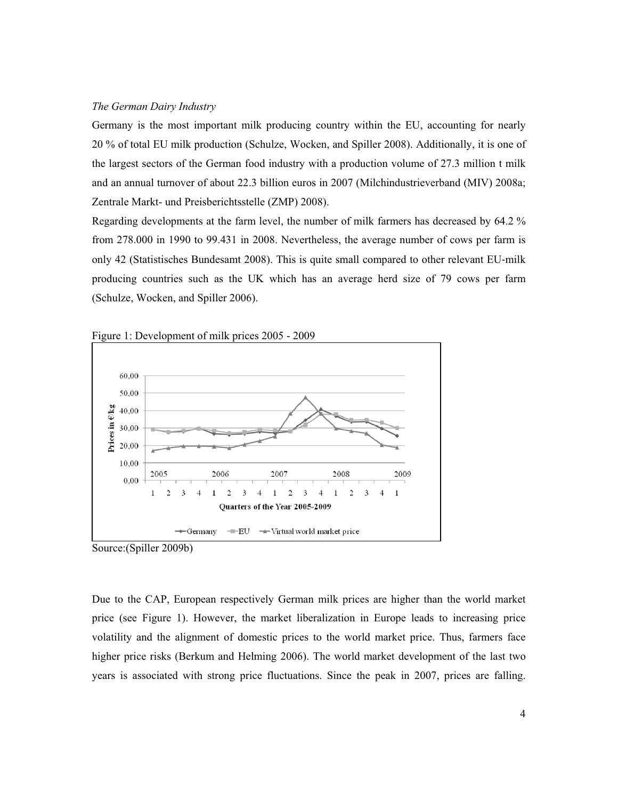## *The German Dairy Industry*

Germany is the most important milk producing country within the EU, accounting for nearly 20 % of total EU milk production (Schulze, Wocken, and Spiller 2008). Additionally, it is one of the largest sectors of the German food industry with a production volume of 27.3 million t milk and an annual turnover of about 22.3 billion euros in 2007 (Milchindustrieverband (MIV) 2008a; Zentrale Markt- und Preisberichtsstelle (ZMP) 2008).

Regarding developments at the farm level, the number of milk farmers has decreased by 64.2 % from 278.000 in 1990 to 99.431 in 2008. Nevertheless, the average number of cows per farm is only 42 (Statistisches Bundesamt 2008). This is quite small compared to other relevant EU-milk producing countries such as the UK which has an average herd size of 79 cows per farm (Schulze, Wocken, and Spiller 2006).





Source:(Spiller 2009b)

Due to the CAP, European respectively German milk prices are higher than the world market price (see Figure 1). However, the market liberalization in Europe leads to increasing price volatility and the alignment of domestic prices to the world market price. Thus, farmers face higher price risks (Berkum and Helming 2006). The world market development of the last two years is associated with strong price fluctuations. Since the peak in 2007, prices are falling.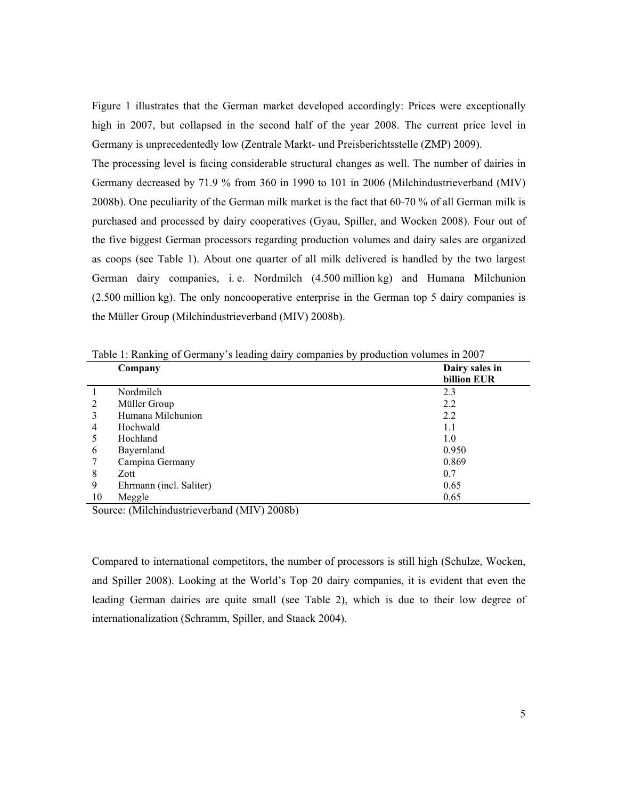Figure 1 illustrates that the German market developed accordingly: Prices were exceptionally high in 2007, but collapsed in the second half of the year 2008. The current price level in Germany is unprecedentedly low (Zentrale Markt- und Preisberichtsstelle (ZMP) 2009).

The processing level is facing considerable structural changes as well. The number of dairies in Germany decreased by 71.9 % from 360 in 1990 to 101 in 2006 (Milchindustrieverband (MIV) 2008b). One peculiarity of the German milk market is the fact that 60-70 % of all German milk is purchased and processed by dairy cooperatives (Gyau, Spiller, and Wocken 2008). Four out of the five biggest German processors regarding production volumes and dairy sales are organized as coops (see Table 1). About one quarter of all milk delivered is handled by the two largest German dairy companies, i. e. Nordmilch (4.500 million kg) and Humana Milchunion (2.500 million kg). The only noncooperative enterprise in the German top 5 dairy companies is the Müller Group (Milchindustrieverband (MIV) 2008b).

|                | Table 1. Kalikuig of Octinally 8 Rading daily companies by production volumes in 2007 |                               |  |  |  |
|----------------|---------------------------------------------------------------------------------------|-------------------------------|--|--|--|
|                | Company                                                                               | Dairy sales in<br>billion EUR |  |  |  |
|                | Nordmilch                                                                             | 2.3                           |  |  |  |
| $\mathfrak{D}$ | Müller Group                                                                          | 2.2                           |  |  |  |
|                | Humana Milchunion                                                                     | 2.2                           |  |  |  |
| 4              | Hochwald                                                                              | 1.1                           |  |  |  |
|                | Hochland                                                                              | 1.0                           |  |  |  |
| 6              | Bayernland                                                                            | 0.950                         |  |  |  |
|                | Campina Germany                                                                       | 0.869                         |  |  |  |
| 8              | Zott                                                                                  | 0.7                           |  |  |  |
| 9              | Ehrmann (incl. Saliter)                                                               | 0.65                          |  |  |  |
| 10             | Meggle                                                                                | 0.65                          |  |  |  |

Table 1: Ranking of Germany's leading dairy companies by production volumes in 2007

Source: (Milchindustrieverband (MIV) 2008b)

Compared to international competitors, the number of processors is still high (Schulze, Wocken, and Spiller 2008). Looking at the World's Top 20 dairy companies, it is evident that even the leading German dairies are quite small (see Table 2), which is due to their low degree of internationalization (Schramm, Spiller, and Staack 2004).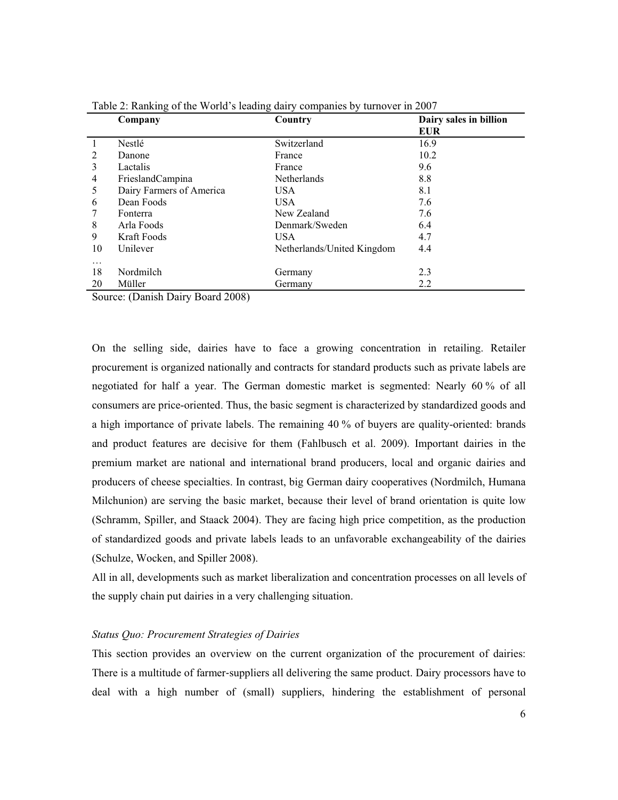|                | Company                                                  | Country                    | Dairy sales in billion<br><b>EUR</b> |
|----------------|----------------------------------------------------------|----------------------------|--------------------------------------|
|                | Nestlé                                                   | Switzerland                | 16.9                                 |
| $\mathfrak{D}$ | Danone                                                   | France                     | 10.2                                 |
| 3              | Lactalis                                                 | France                     | 9.6                                  |
| 4              | FrieslandCampina                                         | <b>Netherlands</b>         | 8.8                                  |
| 5              | Dairy Farmers of America                                 | USA.                       | 8.1                                  |
| 6              | Dean Foods                                               | <b>USA</b>                 | 7.6                                  |
|                | Fonterra                                                 | New Zealand                | 7.6                                  |
| 8              | Arla Foods                                               | Denmark/Sweden             | 6.4                                  |
| 9              | Kraft Foods                                              | USA.                       | 4.7                                  |
| 10             | Unilever                                                 | Netherlands/United Kingdom | 4.4                                  |
| $\cdots$       |                                                          |                            |                                      |
| 18             | Nordmilch                                                | Germany                    | 2.3                                  |
| 20             | Müller                                                   | Germany                    | 2.2                                  |
| $\sim$         | $\sqrt{2}$ $\sqrt{2}$ $\sqrt{2}$<br>1.2000<br>$\sqrt{ }$ |                            |                                      |

Table 2: Ranking of the World's leading dairy companies by turnover in 2007

Source: (Danish Dairy Board 2008)

On the selling side, dairies have to face a growing concentration in retailing. Retailer procurement is organized nationally and contracts for standard products such as private labels are negotiated for half a year. The German domestic market is segmented: Nearly 60 % of all consumers are price-oriented. Thus, the basic segment is characterized by standardized goods and a high importance of private labels. The remaining 40 % of buyers are quality-oriented: brands and product features are decisive for them (Fahlbusch et al. 2009). Important dairies in the premium market are national and international brand producers, local and organic dairies and producers of cheese specialties. In contrast, big German dairy cooperatives (Nordmilch, Humana Milchunion) are serving the basic market, because their level of brand orientation is quite low (Schramm, Spiller, and Staack 2004). They are facing high price competition, as the production of standardized goods and private labels leads to an unfavorable exchangeability of the dairies (Schulze, Wocken, and Spiller 2008).

All in all, developments such as market liberalization and concentration processes on all levels of the supply chain put dairies in a very challenging situation.

### *Status Quo: Procurement Strategies of Dairies*

This section provides an overview on the current organization of the procurement of dairies: There is a multitude of farmer-suppliers all delivering the same product. Dairy processors have to deal with a high number of (small) suppliers, hindering the establishment of personal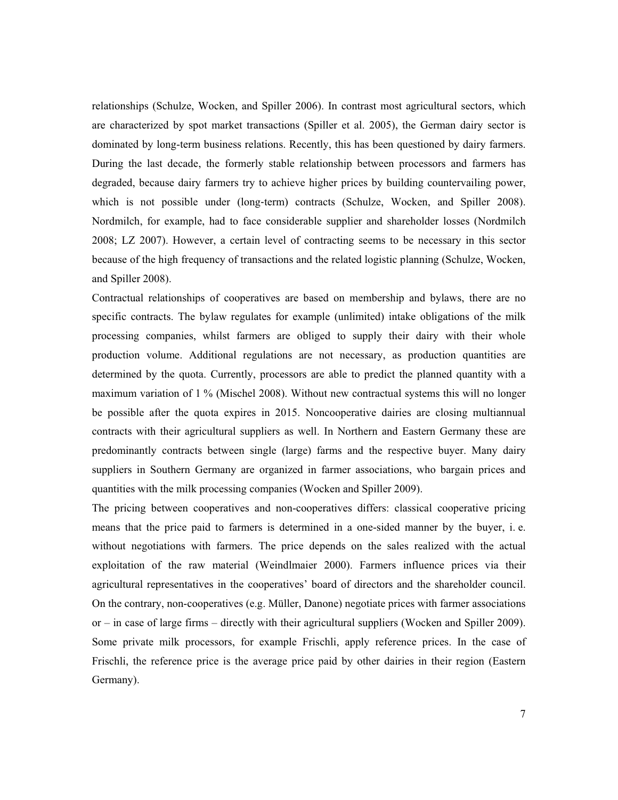relationships (Schulze, Wocken, and Spiller 2006). In contrast most agricultural sectors, which are characterized by spot market transactions (Spiller et al. 2005), the German dairy sector is dominated by long-term business relations. Recently, this has been questioned by dairy farmers. During the last decade, the formerly stable relationship between processors and farmers has degraded, because dairy farmers try to achieve higher prices by building countervailing power, which is not possible under (long-term) contracts (Schulze, Wocken, and Spiller 2008). Nordmilch, for example, had to face considerable supplier and shareholder losses (Nordmilch 2008; LZ 2007). However, a certain level of contracting seems to be necessary in this sector because of the high frequency of transactions and the related logistic planning (Schulze, Wocken, and Spiller 2008).

Contractual relationships of cooperatives are based on membership and bylaws, there are no specific contracts. The bylaw regulates for example (unlimited) intake obligations of the milk processing companies, whilst farmers are obliged to supply their dairy with their whole production volume. Additional regulations are not necessary, as production quantities are determined by the quota. Currently, processors are able to predict the planned quantity with a maximum variation of 1 % (Mischel 2008). Without new contractual systems this will no longer be possible after the quota expires in 2015. Noncooperative dairies are closing multiannual contracts with their agricultural suppliers as well. In Northern and Eastern Germany these are predominantly contracts between single (large) farms and the respective buyer. Many dairy suppliers in Southern Germany are organized in farmer associations, who bargain prices and quantities with the milk processing companies (Wocken and Spiller 2009).

The pricing between cooperatives and non-cooperatives differs: classical cooperative pricing means that the price paid to farmers is determined in a one-sided manner by the buyer, i. e. without negotiations with farmers. The price depends on the sales realized with the actual exploitation of the raw material (Weindlmaier 2000). Farmers influence prices via their agricultural representatives in the cooperatives' board of directors and the shareholder council. On the contrary, non-cooperatives (e.g. Müller, Danone) negotiate prices with farmer associations or – in case of large firms – directly with their agricultural suppliers (Wocken and Spiller 2009). Some private milk processors, for example Frischli, apply reference prices. In the case of Frischli, the reference price is the average price paid by other dairies in their region (Eastern Germany).

7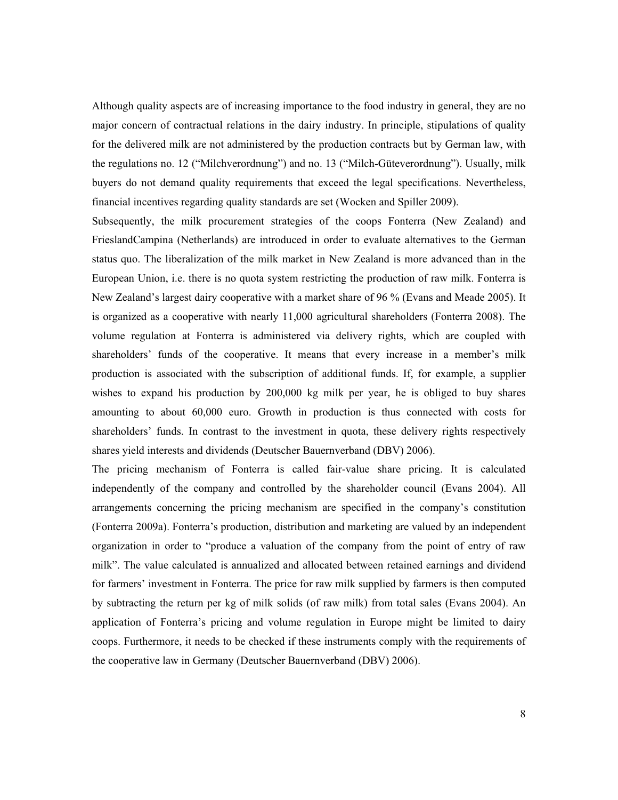Although quality aspects are of increasing importance to the food industry in general, they are no major concern of contractual relations in the dairy industry. In principle, stipulations of quality for the delivered milk are not administered by the production contracts but by German law, with the regulations no. 12 ("Milchverordnung") and no. 13 ("Milch-Güteverordnung"). Usually, milk buyers do not demand quality requirements that exceed the legal specifications. Nevertheless, financial incentives regarding quality standards are set (Wocken and Spiller 2009).

Subsequently, the milk procurement strategies of the coops Fonterra (New Zealand) and FrieslandCampina (Netherlands) are introduced in order to evaluate alternatives to the German status quo. The liberalization of the milk market in New Zealand is more advanced than in the European Union, i.e. there is no quota system restricting the production of raw milk. Fonterra is New Zealand's largest dairy cooperative with a market share of 96 % (Evans and Meade 2005). It is organized as a cooperative with nearly 11,000 agricultural shareholders (Fonterra 2008). The volume regulation at Fonterra is administered via delivery rights, which are coupled with shareholders' funds of the cooperative. It means that every increase in a member's milk production is associated with the subscription of additional funds. If, for example, a supplier wishes to expand his production by 200,000 kg milk per year, he is obliged to buy shares amounting to about 60,000 euro. Growth in production is thus connected with costs for shareholders' funds. In contrast to the investment in quota, these delivery rights respectively shares yield interests and dividends (Deutscher Bauernverband (DBV) 2006).

The pricing mechanism of Fonterra is called fair-value share pricing. It is calculated independently of the company and controlled by the shareholder council (Evans 2004). All arrangements concerning the pricing mechanism are specified in the company's constitution (Fonterra 2009a). Fonterra's production, distribution and marketing are valued by an independent organization in order to "produce a valuation of the company from the point of entry of raw milk". The value calculated is annualized and allocated between retained earnings and dividend for farmers' investment in Fonterra. The price for raw milk supplied by farmers is then computed by subtracting the return per kg of milk solids (of raw milk) from total sales (Evans 2004). An application of Fonterra's pricing and volume regulation in Europe might be limited to dairy coops. Furthermore, it needs to be checked if these instruments comply with the requirements of the cooperative law in Germany (Deutscher Bauernverband (DBV) 2006).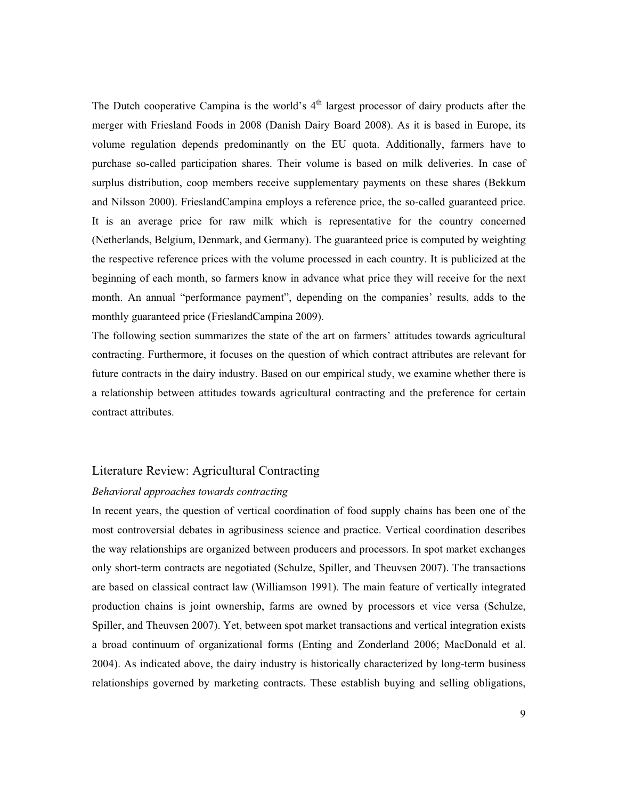The Dutch cooperative Campina is the world's  $4<sup>th</sup>$  largest processor of dairy products after the merger with Friesland Foods in 2008 (Danish Dairy Board 2008). As it is based in Europe, its volume regulation depends predominantly on the EU quota. Additionally, farmers have to purchase so-called participation shares. Their volume is based on milk deliveries. In case of surplus distribution, coop members receive supplementary payments on these shares (Bekkum and Nilsson 2000). FrieslandCampina employs a reference price, the so-called guaranteed price. It is an average price for raw milk which is representative for the country concerned (Netherlands, Belgium, Denmark, and Germany). The guaranteed price is computed by weighting the respective reference prices with the volume processed in each country. It is publicized at the beginning of each month, so farmers know in advance what price they will receive for the next month. An annual "performance payment", depending on the companies' results, adds to the monthly guaranteed price (FrieslandCampina 2009).

The following section summarizes the state of the art on farmers' attitudes towards agricultural contracting. Furthermore, it focuses on the question of which contract attributes are relevant for future contracts in the dairy industry. Based on our empirical study, we examine whether there is a relationship between attitudes towards agricultural contracting and the preference for certain contract attributes.

# Literature Review: Agricultural Contracting

#### *Behavioral approaches towards contracting*

In recent years, the question of vertical coordination of food supply chains has been one of the most controversial debates in agribusiness science and practice. Vertical coordination describes the way relationships are organized between producers and processors. In spot market exchanges only short-term contracts are negotiated (Schulze, Spiller, and Theuvsen 2007). The transactions are based on classical contract law (Williamson 1991). The main feature of vertically integrated production chains is joint ownership, farms are owned by processors et vice versa (Schulze, Spiller, and Theuvsen 2007). Yet, between spot market transactions and vertical integration exists a broad continuum of organizational forms (Enting and Zonderland 2006; MacDonald et al. 2004). As indicated above, the dairy industry is historically characterized by long-term business relationships governed by marketing contracts. These establish buying and selling obligations,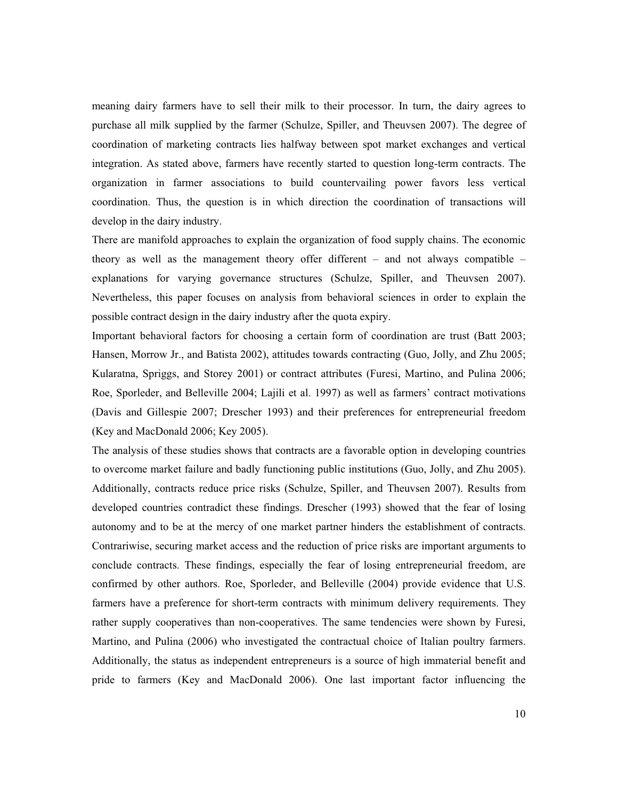meaning dairy farmers have to sell their milk to their processor. In turn, the dairy agrees to purchase all milk supplied by the farmer (Schulze, Spiller, and Theuvsen 2007). The degree of coordination of marketing contracts lies halfway between spot market exchanges and vertical integration. As stated above, farmers have recently started to question long-term contracts. The organization in farmer associations to build countervailing power favors less vertical coordination. Thus, the question is in which direction the coordination of transactions will develop in the dairy industry.

There are manifold approaches to explain the organization of food supply chains. The economic theory as well as the management theory offer different – and not always compatible – explanations for varying governance structures (Schulze, Spiller, and Theuvsen 2007). Nevertheless, this paper focuses on analysis from behavioral sciences in order to explain the possible contract design in the dairy industry after the quota expiry.

Important behavioral factors for choosing a certain form of coordination are trust (Batt 2003; Hansen, Morrow Jr., and Batista 2002), attitudes towards contracting (Guo, Jolly, and Zhu 2005; Kularatna, Spriggs, and Storey 2001) or contract attributes (Furesi, Martino, and Pulina 2006; Roe, Sporleder, and Belleville 2004; Lajili et al. 1997) as well as farmers' contract motivations (Davis and Gillespie 2007; Drescher 1993) and their preferences for entrepreneurial freedom (Key and MacDonald 2006; Key 2005).

The analysis of these studies shows that contracts are a favorable option in developing countries to overcome market failure and badly functioning public institutions (Guo, Jolly, and Zhu 2005). Additionally, contracts reduce price risks (Schulze, Spiller, and Theuvsen 2007). Results from developed countries contradict these findings. Drescher (1993) showed that the fear of losing autonomy and to be at the mercy of one market partner hinders the establishment of contracts. Contrariwise, securing market access and the reduction of price risks are important arguments to conclude contracts. These findings, especially the fear of losing entrepreneurial freedom, are confirmed by other authors. Roe, Sporleder, and Belleville (2004) provide evidence that U.S. farmers have a preference for short-term contracts with minimum delivery requirements. They rather supply cooperatives than non-cooperatives. The same tendencies were shown by Furesi, Martino, and Pulina (2006) who investigated the contractual choice of Italian poultry farmers. Additionally, the status as independent entrepreneurs is a source of high immaterial benefit and pride to farmers (Key and MacDonald 2006). One last important factor influencing the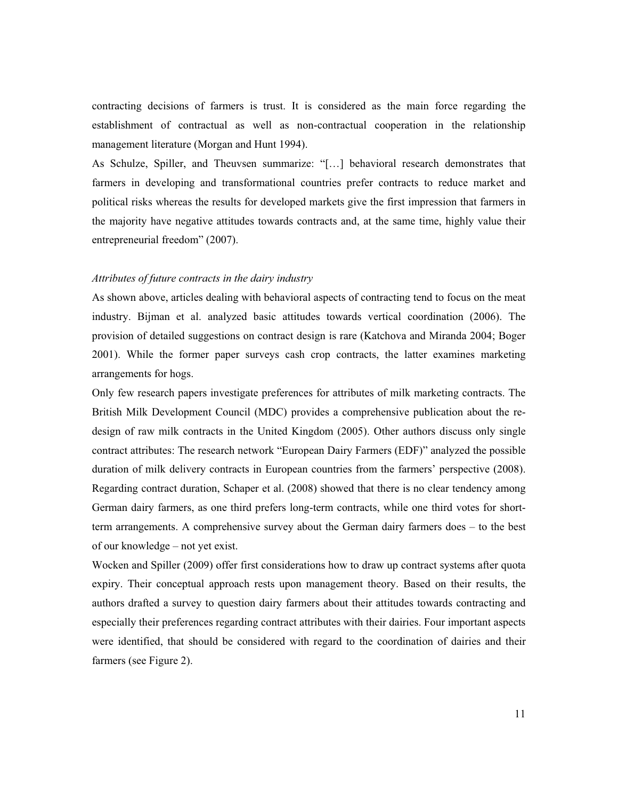contracting decisions of farmers is trust. It is considered as the main force regarding the establishment of contractual as well as non-contractual cooperation in the relationship management literature (Morgan and Hunt 1994).

As Schulze, Spiller, and Theuvsen summarize: "[…] behavioral research demonstrates that farmers in developing and transformational countries prefer contracts to reduce market and political risks whereas the results for developed markets give the first impression that farmers in the majority have negative attitudes towards contracts and, at the same time, highly value their entrepreneurial freedom" (2007).

## *Attributes of future contracts in the dairy industry*

As shown above, articles dealing with behavioral aspects of contracting tend to focus on the meat industry. Bijman et al. analyzed basic attitudes towards vertical coordination (2006). The provision of detailed suggestions on contract design is rare (Katchova and Miranda 2004; Boger 2001). While the former paper surveys cash crop contracts, the latter examines marketing arrangements for hogs.

Only few research papers investigate preferences for attributes of milk marketing contracts. The British Milk Development Council (MDC) provides a comprehensive publication about the redesign of raw milk contracts in the United Kingdom (2005). Other authors discuss only single contract attributes: The research network "European Dairy Farmers (EDF)" analyzed the possible duration of milk delivery contracts in European countries from the farmers' perspective (2008). Regarding contract duration, Schaper et al. (2008) showed that there is no clear tendency among German dairy farmers, as one third prefers long-term contracts, while one third votes for shortterm arrangements. A comprehensive survey about the German dairy farmers does – to the best of our knowledge – not yet exist.

Wocken and Spiller (2009) offer first considerations how to draw up contract systems after quota expiry. Their conceptual approach rests upon management theory. Based on their results, the authors drafted a survey to question dairy farmers about their attitudes towards contracting and especially their preferences regarding contract attributes with their dairies. Four important aspects were identified, that should be considered with regard to the coordination of dairies and their farmers (see Figure 2).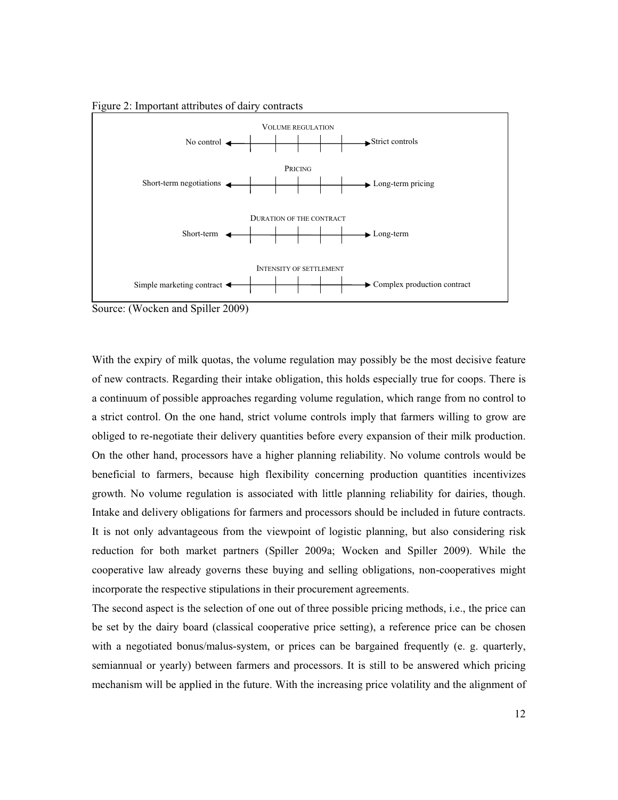Figure 2: Important attributes of dairy contracts



Source: (Wocken and Spiller 2009)

With the expiry of milk quotas, the volume regulation may possibly be the most decisive feature of new contracts. Regarding their intake obligation, this holds especially true for coops. There is a continuum of possible approaches regarding volume regulation, which range from no control to a strict control. On the one hand, strict volume controls imply that farmers willing to grow are obliged to re-negotiate their delivery quantities before every expansion of their milk production. On the other hand, processors have a higher planning reliability. No volume controls would be beneficial to farmers, because high flexibility concerning production quantities incentivizes growth. No volume regulation is associated with little planning reliability for dairies, though. Intake and delivery obligations for farmers and processors should be included in future contracts. It is not only advantageous from the viewpoint of logistic planning, but also considering risk reduction for both market partners (Spiller 2009a; Wocken and Spiller 2009). While the cooperative law already governs these buying and selling obligations, non-cooperatives might incorporate the respective stipulations in their procurement agreements.

The second aspect is the selection of one out of three possible pricing methods, i.e., the price can be set by the dairy board (classical cooperative price setting), a reference price can be chosen with a negotiated bonus/malus-system, or prices can be bargained frequently (e. g. quarterly, semiannual or yearly) between farmers and processors. It is still to be answered which pricing mechanism will be applied in the future. With the increasing price volatility and the alignment of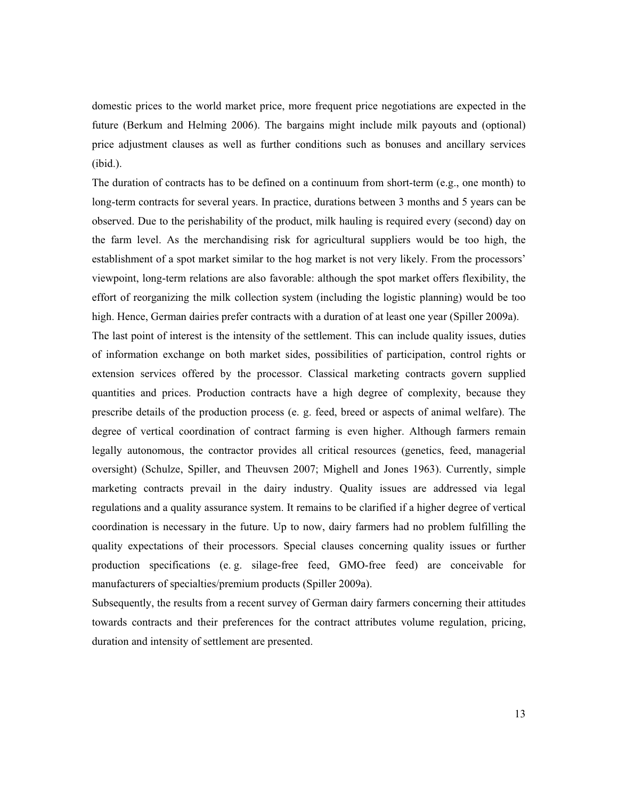domestic prices to the world market price, more frequent price negotiations are expected in the future (Berkum and Helming 2006). The bargains might include milk payouts and (optional) price adjustment clauses as well as further conditions such as bonuses and ancillary services (ibid.).

The duration of contracts has to be defined on a continuum from short-term (e.g., one month) to long-term contracts for several years. In practice, durations between 3 months and 5 years can be observed. Due to the perishability of the product, milk hauling is required every (second) day on the farm level. As the merchandising risk for agricultural suppliers would be too high, the establishment of a spot market similar to the hog market is not very likely. From the processors' viewpoint, long-term relations are also favorable: although the spot market offers flexibility, the effort of reorganizing the milk collection system (including the logistic planning) would be too high. Hence, German dairies prefer contracts with a duration of at least one year (Spiller 2009a).

The last point of interest is the intensity of the settlement. This can include quality issues, duties of information exchange on both market sides, possibilities of participation, control rights or extension services offered by the processor. Classical marketing contracts govern supplied quantities and prices. Production contracts have a high degree of complexity, because they prescribe details of the production process (e. g. feed, breed or aspects of animal welfare). The degree of vertical coordination of contract farming is even higher. Although farmers remain legally autonomous, the contractor provides all critical resources (genetics, feed, managerial oversight) (Schulze, Spiller, and Theuvsen 2007; Mighell and Jones 1963). Currently, simple marketing contracts prevail in the dairy industry. Quality issues are addressed via legal regulations and a quality assurance system. It remains to be clarified if a higher degree of vertical coordination is necessary in the future. Up to now, dairy farmers had no problem fulfilling the quality expectations of their processors. Special clauses concerning quality issues or further production specifications (e. g. silage-free feed, GMO-free feed) are conceivable for manufacturers of specialties/premium products (Spiller 2009a).

Subsequently, the results from a recent survey of German dairy farmers concerning their attitudes towards contracts and their preferences for the contract attributes volume regulation, pricing, duration and intensity of settlement are presented.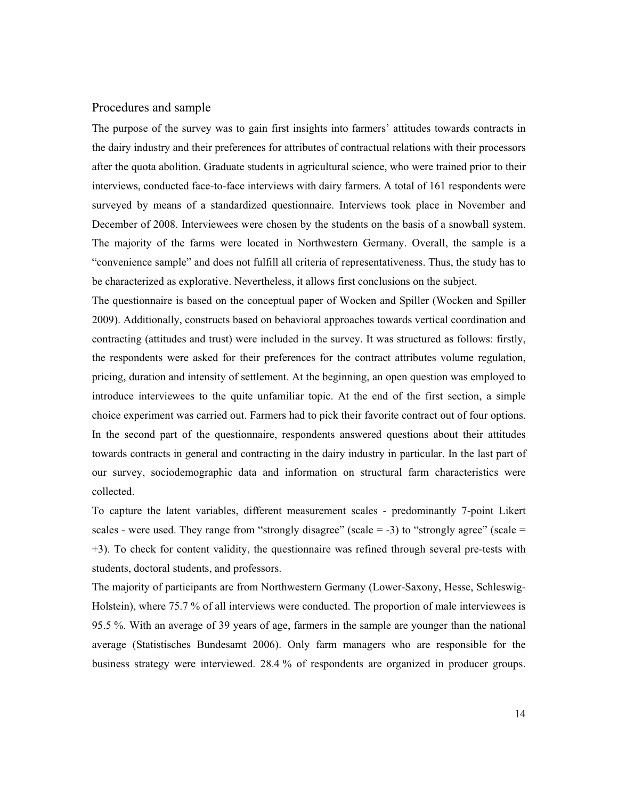# Procedures and sample

The purpose of the survey was to gain first insights into farmers' attitudes towards contracts in the dairy industry and their preferences for attributes of contractual relations with their processors after the quota abolition. Graduate students in agricultural science, who were trained prior to their interviews, conducted face-to-face interviews with dairy farmers. A total of 161 respondents were surveyed by means of a standardized questionnaire. Interviews took place in November and December of 2008. Interviewees were chosen by the students on the basis of a snowball system. The majority of the farms were located in Northwestern Germany. Overall, the sample is a "convenience sample" and does not fulfill all criteria of representativeness. Thus, the study has to be characterized as explorative. Nevertheless, it allows first conclusions on the subject.

The questionnaire is based on the conceptual paper of Wocken and Spiller (Wocken and Spiller 2009). Additionally, constructs based on behavioral approaches towards vertical coordination and contracting (attitudes and trust) were included in the survey. It was structured as follows: firstly, the respondents were asked for their preferences for the contract attributes volume regulation, pricing, duration and intensity of settlement. At the beginning, an open question was employed to introduce interviewees to the quite unfamiliar topic. At the end of the first section, a simple choice experiment was carried out. Farmers had to pick their favorite contract out of four options. In the second part of the questionnaire, respondents answered questions about their attitudes towards contracts in general and contracting in the dairy industry in particular. In the last part of our survey, sociodemographic data and information on structural farm characteristics were collected.

To capture the latent variables, different measurement scales - predominantly 7-point Likert scales - were used. They range from "strongly disagree" (scale  $= -3$ ) to "strongly agree" (scale  $=$ +3). To check for content validity, the questionnaire was refined through several pre-tests with students, doctoral students, and professors.

The majority of participants are from Northwestern Germany (Lower-Saxony, Hesse, Schleswig-Holstein), where 75.7 % of all interviews were conducted. The proportion of male interviewees is 95.5 %. With an average of 39 years of age, farmers in the sample are younger than the national average (Statistisches Bundesamt 2006). Only farm managers who are responsible for the business strategy were interviewed. 28.4 % of respondents are organized in producer groups.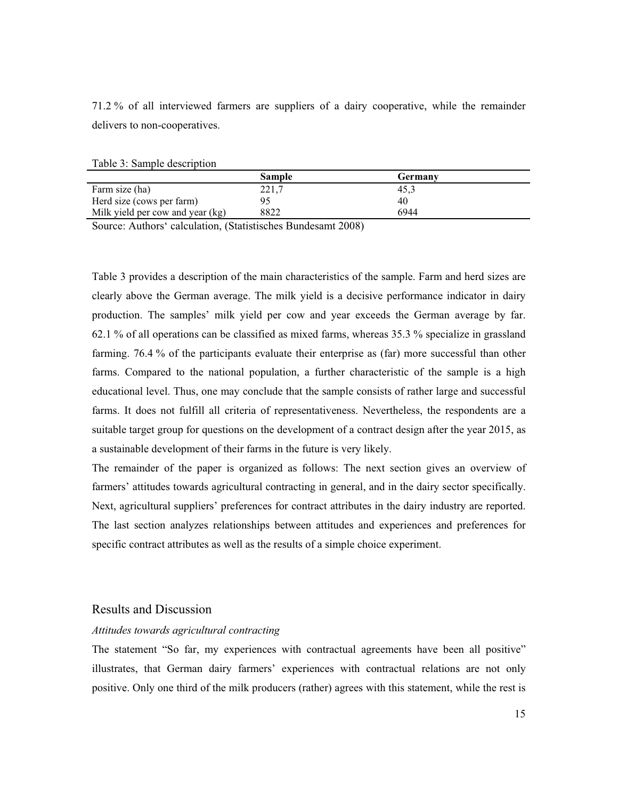71.2 % of all interviewed farmers are suppliers of a dairy cooperative, while the remainder delivers to non-cooperatives.

|                                  | <b>Sample</b> | Germany |
|----------------------------------|---------------|---------|
| Farm size (ha)                   | 221,7         | د.45    |
| Herd size (cows per farm)        |               | 40      |
| Milk yield per cow and year (kg) | 8822          | 6944    |

Source: Authors' calculation, (Statistisches Bundesamt 2008)

Table 3 provides a description of the main characteristics of the sample. Farm and herd sizes are clearly above the German average. The milk yield is a decisive performance indicator in dairy production. The samples' milk yield per cow and year exceeds the German average by far. 62.1 % of all operations can be classified as mixed farms, whereas 35.3 % specialize in grassland farming. 76.4 % of the participants evaluate their enterprise as (far) more successful than other farms. Compared to the national population, a further characteristic of the sample is a high educational level. Thus, one may conclude that the sample consists of rather large and successful farms. It does not fulfill all criteria of representativeness. Nevertheless, the respondents are a suitable target group for questions on the development of a contract design after the year 2015, as a sustainable development of their farms in the future is very likely.

The remainder of the paper is organized as follows: The next section gives an overview of farmers' attitudes towards agricultural contracting in general, and in the dairy sector specifically. Next, agricultural suppliers' preferences for contract attributes in the dairy industry are reported. The last section analyzes relationships between attitudes and experiences and preferences for specific contract attributes as well as the results of a simple choice experiment.

## Results and Discussion

#### *Attitudes towards agricultural contracting*

The statement "So far, my experiences with contractual agreements have been all positive" illustrates, that German dairy farmers' experiences with contractual relations are not only positive. Only one third of the milk producers (rather) agrees with this statement, while the rest is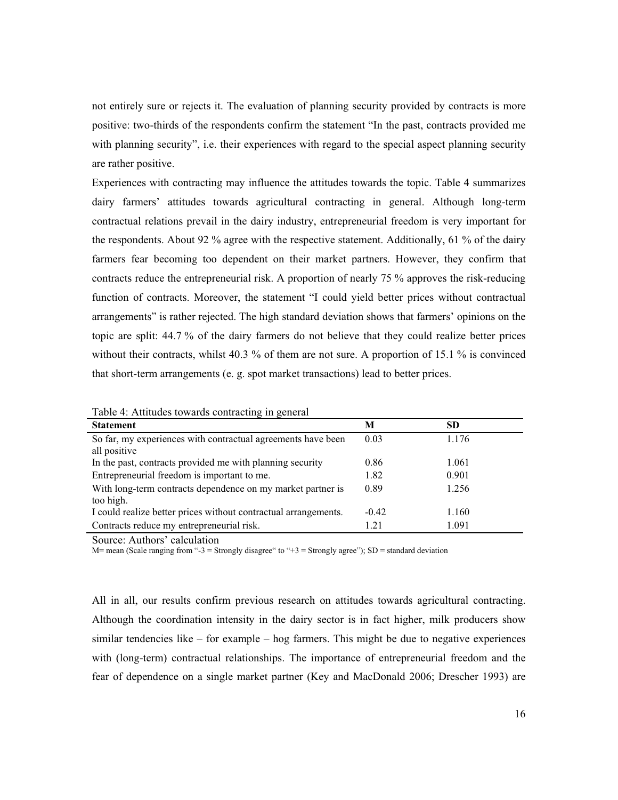not entirely sure or rejects it. The evaluation of planning security provided by contracts is more positive: two-thirds of the respondents confirm the statement "In the past, contracts provided me with planning security", i.e. their experiences with regard to the special aspect planning security are rather positive.

Experiences with contracting may influence the attitudes towards the topic. Table 4 summarizes dairy farmers' attitudes towards agricultural contracting in general. Although long-term contractual relations prevail in the dairy industry, entrepreneurial freedom is very important for the respondents. About 92 % agree with the respective statement. Additionally, 61 % of the dairy farmers fear becoming too dependent on their market partners. However, they confirm that contracts reduce the entrepreneurial risk. A proportion of nearly 75 % approves the risk-reducing function of contracts. Moreover, the statement "I could yield better prices without contractual arrangements" is rather rejected. The high standard deviation shows that farmers' opinions on the topic are split: 44.7 % of the dairy farmers do not believe that they could realize better prices without their contracts, whilst 40.3 % of them are not sure. A proportion of 15.1 % is convinced that short-term arrangements (e. g. spot market transactions) lead to better prices.

| Taon +. Tunnacs towards contracting in general                  |         |           |  |  |
|-----------------------------------------------------------------|---------|-----------|--|--|
| <b>Statement</b>                                                | м       | <b>SD</b> |  |  |
| So far, my experiences with contractual agreements have been    | 0.03    | 1.176     |  |  |
| all positive                                                    |         |           |  |  |
| In the past, contracts provided me with planning security       | 0.86    | 1.061     |  |  |
| Entrepreneurial freedom is important to me.                     | 1.82    | 0.901     |  |  |
| With long-term contracts dependence on my market partner is     | 0.89    | 1.256     |  |  |
| too high.                                                       |         |           |  |  |
| I could realize better prices without contractual arrangements. | $-0.42$ | 1.160     |  |  |
| Contracts reduce my entrepreneurial risk.                       | 1.21    | 1.091     |  |  |

Table 4: Attitudes towards contracting in general

Source: Authors' calculation

M= mean (Scale ranging from "-3 = Strongly disagree" to "+3 = Strongly agree"); SD = standard deviation

All in all, our results confirm previous research on attitudes towards agricultural contracting. Although the coordination intensity in the dairy sector is in fact higher, milk producers show similar tendencies like  $-$  for example  $-$  hog farmers. This might be due to negative experiences with (long-term) contractual relationships. The importance of entrepreneurial freedom and the fear of dependence on a single market partner (Key and MacDonald 2006; Drescher 1993) are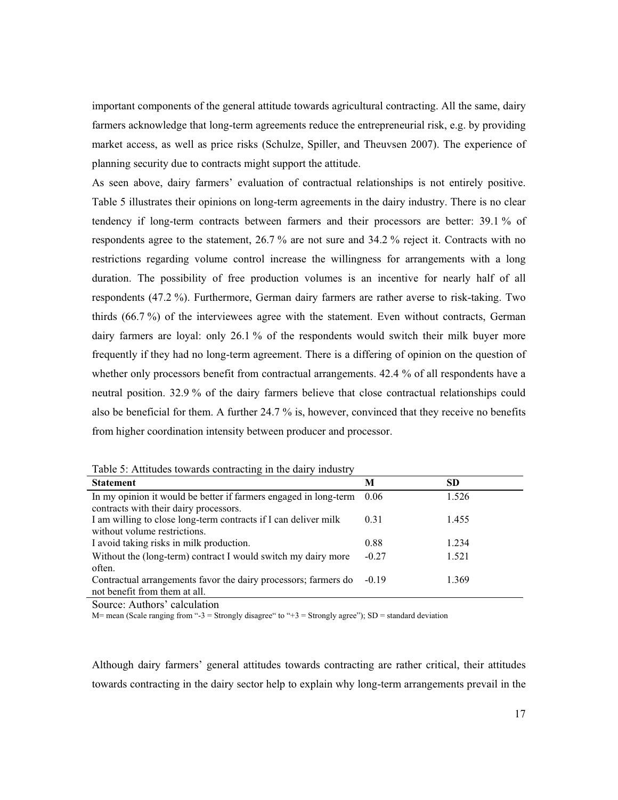important components of the general attitude towards agricultural contracting. All the same, dairy farmers acknowledge that long-term agreements reduce the entrepreneurial risk, e.g. by providing market access, as well as price risks (Schulze, Spiller, and Theuvsen 2007). The experience of planning security due to contracts might support the attitude.

As seen above, dairy farmers' evaluation of contractual relationships is not entirely positive. Table 5 illustrates their opinions on long-term agreements in the dairy industry. There is no clear tendency if long-term contracts between farmers and their processors are better: 39.1 % of respondents agree to the statement, 26.7 % are not sure and 34.2 % reject it. Contracts with no restrictions regarding volume control increase the willingness for arrangements with a long duration. The possibility of free production volumes is an incentive for nearly half of all respondents (47.2 %). Furthermore, German dairy farmers are rather averse to risk-taking. Two thirds (66.7 %) of the interviewees agree with the statement. Even without contracts, German dairy farmers are loyal: only 26.1 % of the respondents would switch their milk buyer more frequently if they had no long-term agreement. There is a differing of opinion on the question of whether only processors benefit from contractual arrangements. 42.4 % of all respondents have a neutral position. 32.9 % of the dairy farmers believe that close contractual relationships could also be beneficial for them. A further 24.7 % is, however, convinced that they receive no benefits from higher coordination intensity between producer and processor.

|  | Table 5: Attitudes towards contracting in the dairy industry |  |  |  |
|--|--------------------------------------------------------------|--|--|--|
|  |                                                              |  |  |  |

| <b>Statement</b>                                                                                           | M       | SD    |
|------------------------------------------------------------------------------------------------------------|---------|-------|
| In my opinion it would be better if farmers engaged in long-term<br>contracts with their dairy processors. | 0.06    | 1.526 |
| I am willing to close long-term contracts if I can deliver milk<br>without volume restrictions.            | 0.31    | 1.455 |
| I avoid taking risks in milk production.                                                                   | 0.88    | 1.234 |
| Without the (long-term) contract I would switch my dairy more<br>often.                                    | $-0.27$ | 1.521 |
| Contractual arrangements favor the dairy processors; farmers do<br>not benefit from them at all.           | $-0.19$ | 1.369 |

Source: Authors' calculation

M= mean (Scale ranging from "-3 = Strongly disagree" to "+3 = Strongly agree"); SD = standard deviation

Although dairy farmers' general attitudes towards contracting are rather critical, their attitudes towards contracting in the dairy sector help to explain why long-term arrangements prevail in the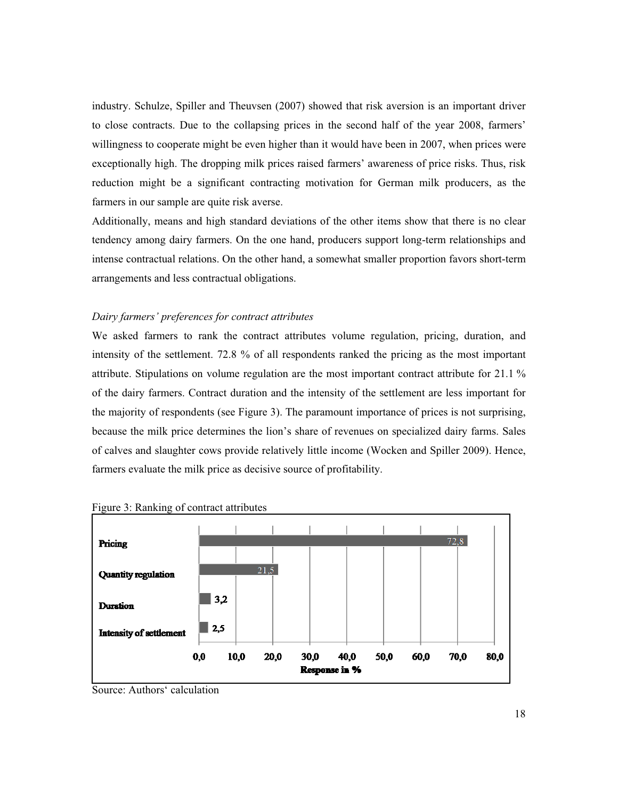industry. Schulze, Spiller and Theuvsen (2007) showed that risk aversion is an important driver to close contracts. Due to the collapsing prices in the second half of the year 2008, farmers' willingness to cooperate might be even higher than it would have been in 2007, when prices were exceptionally high. The dropping milk prices raised farmers' awareness of price risks. Thus, risk reduction might be a significant contracting motivation for German milk producers, as the farmers in our sample are quite risk averse.

Additionally, means and high standard deviations of the other items show that there is no clear tendency among dairy farmers. On the one hand, producers support long-term relationships and intense contractual relations. On the other hand, a somewhat smaller proportion favors short-term arrangements and less contractual obligations.

### *Dairy farmers' preferences for contract attributes*

We asked farmers to rank the contract attributes volume regulation, pricing, duration, and intensity of the settlement. 72.8 % of all respondents ranked the pricing as the most important attribute. Stipulations on volume regulation are the most important contract attribute for 21.1 % of the dairy farmers. Contract duration and the intensity of the settlement are less important for the majority of respondents (see Figure 3). The paramount importance of prices is not surprising, because the milk price determines the lion's share of revenues on specialized dairy farms. Sales of calves and slaughter cows provide relatively little income (Wocken and Spiller 2009). Hence, farmers evaluate the milk price as decisive source of profitability.



Figure 3: Ranking of contract attributes

Source: Authors' calculation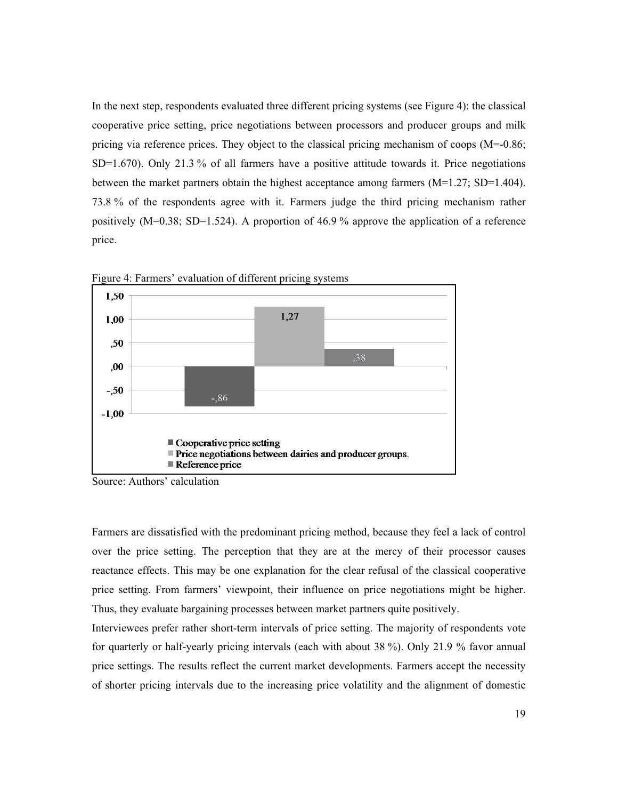In the next step, respondents evaluated three different pricing systems (see Figure 4): the classical cooperative price setting, price negotiations between processors and producer groups and milk pricing via reference prices. They object to the classical pricing mechanism of coops (M=-0.86; SD=1.670). Only 21.3 % of all farmers have a positive attitude towards it. Price negotiations between the market partners obtain the highest acceptance among farmers  $(M=1.27; SD=1.404)$ . 73.8 % of the respondents agree with it. Farmers judge the third pricing mechanism rather positively  $(M=0.38; SD=1.524)$ . A proportion of 46.9% approve the application of a reference price.



Figure 4: Farmers' evaluation of different pricing systems

Source: Authors' calculation

Farmers are dissatisfied with the predominant pricing method, because they feel a lack of control over the price setting. The perception that they are at the mercy of their processor causes reactance effects. This may be one explanation for the clear refusal of the classical cooperative price setting. From farmers' viewpoint, their influence on price negotiations might be higher. Thus, they evaluate bargaining processes between market partners quite positively.

Interviewees prefer rather short-term intervals of price setting. The majority of respondents vote for quarterly or half-yearly pricing intervals (each with about 38 %). Only 21.9 % favor annual price settings. The results reflect the current market developments. Farmers accept the necessity of shorter pricing intervals due to the increasing price volatility and the alignment of domestic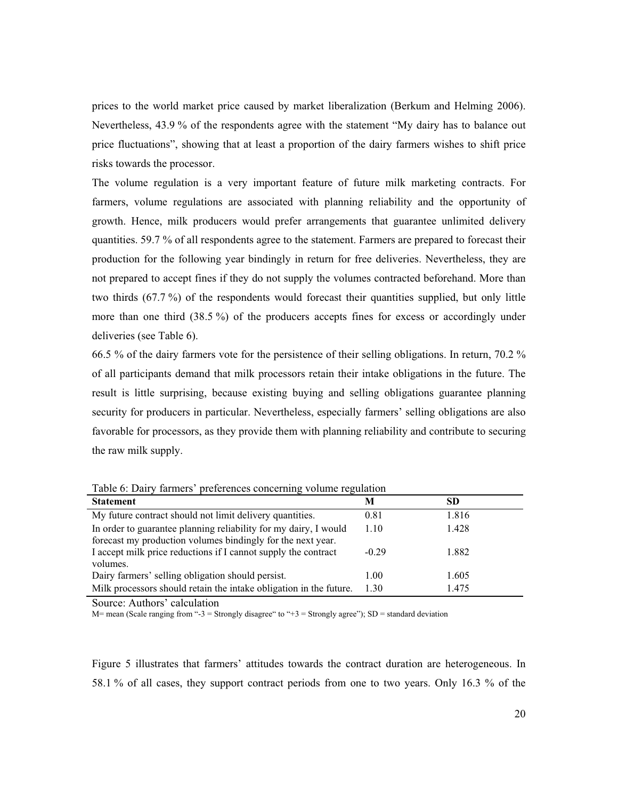prices to the world market price caused by market liberalization (Berkum and Helming 2006). Nevertheless, 43.9 % of the respondents agree with the statement "My dairy has to balance out price fluctuations", showing that at least a proportion of the dairy farmers wishes to shift price risks towards the processor.

The volume regulation is a very important feature of future milk marketing contracts. For farmers, volume regulations are associated with planning reliability and the opportunity of growth. Hence, milk producers would prefer arrangements that guarantee unlimited delivery quantities. 59.7 % of all respondents agree to the statement. Farmers are prepared to forecast their production for the following year bindingly in return for free deliveries. Nevertheless, they are not prepared to accept fines if they do not supply the volumes contracted beforehand. More than two thirds (67.7 %) of the respondents would forecast their quantities supplied, but only little more than one third (38.5 %) of the producers accepts fines for excess or accordingly under deliveries (see Table 6).

66.5 % of the dairy farmers vote for the persistence of their selling obligations. In return, 70.2 % of all participants demand that milk processors retain their intake obligations in the future. The result is little surprising, because existing buying and selling obligations guarantee planning security for producers in particular. Nevertheless, especially farmers' selling obligations are also favorable for processors, as they provide them with planning reliability and contribute to securing the raw milk supply.

| <b>Statement</b>                                                                                                                | M       | <b>SD</b> |
|---------------------------------------------------------------------------------------------------------------------------------|---------|-----------|
| My future contract should not limit delivery quantities.                                                                        | 0.81    | 1.816     |
| In order to guarantee planning reliability for my dairy, I would<br>forecast my production volumes bindingly for the next year. | 1.10    | 1.428     |
| I accept milk price reductions if I cannot supply the contract<br>volumes.                                                      | $-0.29$ | 1.882     |
| Dairy farmers' selling obligation should persist.                                                                               | 1.00    | 1.605     |
| Milk processors should retain the intake obligation in the future.                                                              | 1.30    | 1.475     |

Table 6: Dairy farmers' preferences concerning volume regulation

Source: Authors' calculation

M= mean (Scale ranging from "-3 = Strongly disagree" to "+3 = Strongly agree"); SD = standard deviation

Figure 5 illustrates that farmers' attitudes towards the contract duration are heterogeneous. In 58.1 % of all cases, they support contract periods from one to two years. Only 16.3 % of the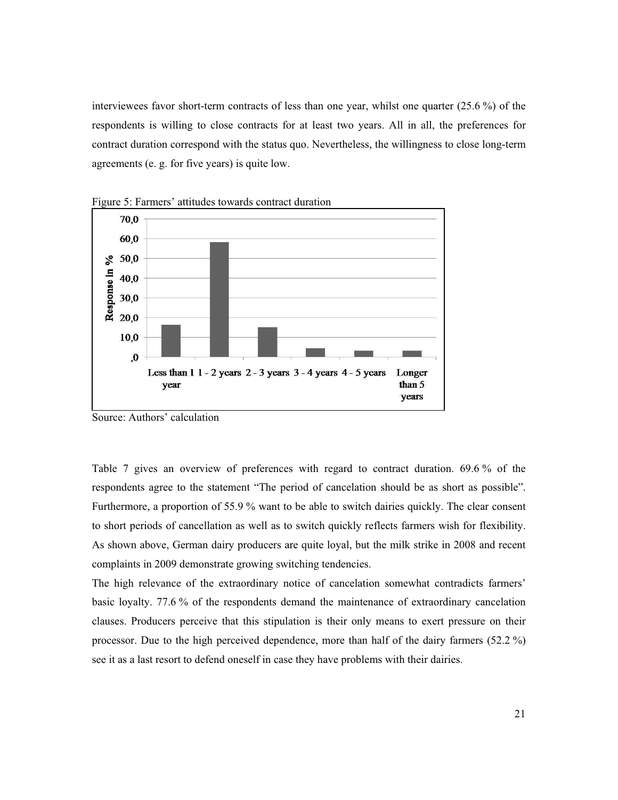interviewees favor short-term contracts of less than one year, whilst one quarter (25.6 %) of the respondents is willing to close contracts for at least two years. All in all, the preferences for contract duration correspond with the status quo. Nevertheless, the willingness to close long-term agreements (e. g. for five years) is quite low.



Figure 5: Farmers' attitudes towards contract duration

Table 7 gives an overview of preferences with regard to contract duration. 69.6 % of the respondents agree to the statement "The period of cancelation should be as short as possible". Furthermore, a proportion of 55.9 % want to be able to switch dairies quickly. The clear consent to short periods of cancellation as well as to switch quickly reflects farmers wish for flexibility. As shown above, German dairy producers are quite loyal, but the milk strike in 2008 and recent complaints in 2009 demonstrate growing switching tendencies.

The high relevance of the extraordinary notice of cancelation somewhat contradicts farmers' basic loyalty. 77.6 % of the respondents demand the maintenance of extraordinary cancelation clauses. Producers perceive that this stipulation is their only means to exert pressure on their processor. Due to the high perceived dependence, more than half of the dairy farmers (52.2 %) see it as a last resort to defend oneself in case they have problems with their dairies.

Source: Authors' calculation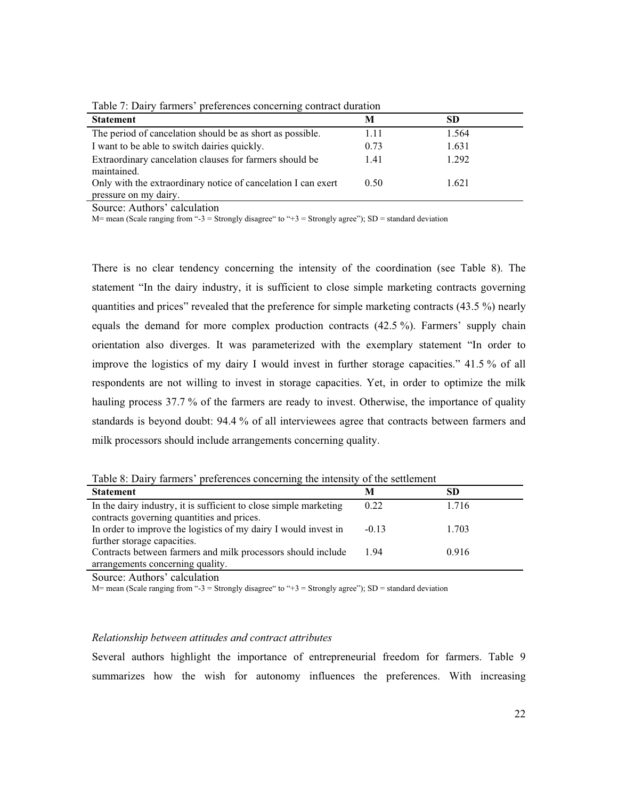| <b>Statement</b>                                              | M    | SD    |  |
|---------------------------------------------------------------|------|-------|--|
| The period of cancelation should be as short as possible.     | 1.11 | 1.564 |  |
| I want to be able to switch dairies quickly.                  | 0.73 | 1.631 |  |
| Extraordinary cancelation clauses for farmers should be       | 1.41 | 1.292 |  |
| maintained.                                                   |      |       |  |
| Only with the extraordinary notice of cancelation I can exert | 0.50 | 1.621 |  |
| pressure on my dairy.                                         |      |       |  |

Table 7: Dairy farmers' preferences concerning contract duration

Source: Authors' calculation

M= mean (Scale ranging from "-3 = Strongly disagree" to "+3 = Strongly agree"); SD = standard deviation

There is no clear tendency concerning the intensity of the coordination (see Table 8). The statement "In the dairy industry, it is sufficient to close simple marketing contracts governing quantities and prices" revealed that the preference for simple marketing contracts  $(43.5\%)$  nearly equals the demand for more complex production contracts (42.5 %). Farmers' supply chain orientation also diverges. It was parameterized with the exemplary statement "In order to improve the logistics of my dairy I would invest in further storage capacities." 41.5 % of all respondents are not willing to invest in storage capacities. Yet, in order to optimize the milk hauling process 37.7 % of the farmers are ready to invest. Otherwise, the importance of quality standards is beyond doubt: 94.4 % of all interviewees agree that contracts between farmers and milk processors should include arrangements concerning quality.

| Table 0. Daily farmers preferences concerning the intensity of the settlement |         |       |  |  |
|-------------------------------------------------------------------------------|---------|-------|--|--|
| <b>Statement</b>                                                              | M       | SD    |  |  |
| In the dairy industry, it is sufficient to close simple marketing             | 0.22    | 1.716 |  |  |
| contracts governing quantities and prices.                                    |         |       |  |  |
| In order to improve the logistics of my dairy I would invest in               | $-0.13$ | 1.703 |  |  |
| further storage capacities.                                                   |         |       |  |  |
| Contracts between farmers and milk processors should include                  | 1.94    | 0.916 |  |  |
| arrangements concerning quality.                                              |         |       |  |  |
|                                                                               |         |       |  |  |

Table 8: Dairy farmers' preferences concerning the intensity of the settlement

Source: Authors' calculation

 $M=$  mean (Scale ranging from "-3 = Strongly disagree" to "+3 = Strongly agree"); SD = standard deviation

#### *Relationship between attitudes and contract attributes*

Several authors highlight the importance of entrepreneurial freedom for farmers. Table 9 summarizes how the wish for autonomy influences the preferences. With increasing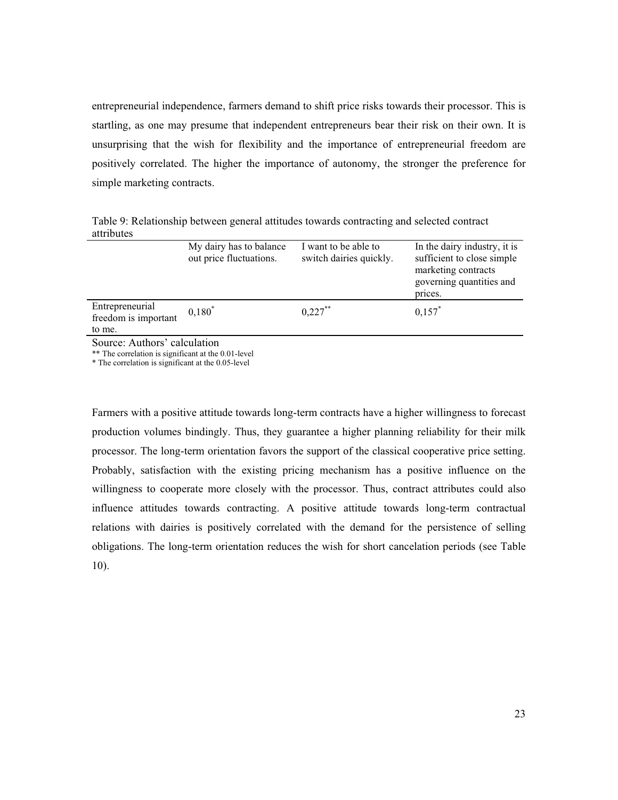entrepreneurial independence, farmers demand to shift price risks towards their processor. This is startling, as one may presume that independent entrepreneurs bear their risk on their own. It is unsurprising that the wish for flexibility and the importance of entrepreneurial freedom are positively correlated. The higher the importance of autonomy, the stronger the preference for simple marketing contracts.

Table 9: Relationship between general attitudes towards contracting and selected contract attributes

|                                                   | My dairy has to balance<br>out price fluctuations. | I want to be able to<br>switch dairies quickly. | In the dairy industry, it is<br>sufficient to close simple<br>marketing contracts<br>governing quantities and<br>prices. |  |  |
|---------------------------------------------------|----------------------------------------------------|-------------------------------------------------|--------------------------------------------------------------------------------------------------------------------------|--|--|
| Entrepreneurial<br>freedom is important<br>to me. | $0,180^*$                                          | $0.227***$                                      | $0,157$ *                                                                                                                |  |  |
| Source: Authors' calculation                      |                                                    |                                                 |                                                                                                                          |  |  |

\*\* The correlation is significant at the 0.01-level

\* The correlation is significant at the 0.05-level

Farmers with a positive attitude towards long-term contracts have a higher willingness to forecast production volumes bindingly. Thus, they guarantee a higher planning reliability for their milk processor. The long-term orientation favors the support of the classical cooperative price setting. Probably, satisfaction with the existing pricing mechanism has a positive influence on the willingness to cooperate more closely with the processor. Thus, contract attributes could also influence attitudes towards contracting. A positive attitude towards long-term contractual relations with dairies is positively correlated with the demand for the persistence of selling obligations. The long-term orientation reduces the wish for short cancelation periods (see Table 10).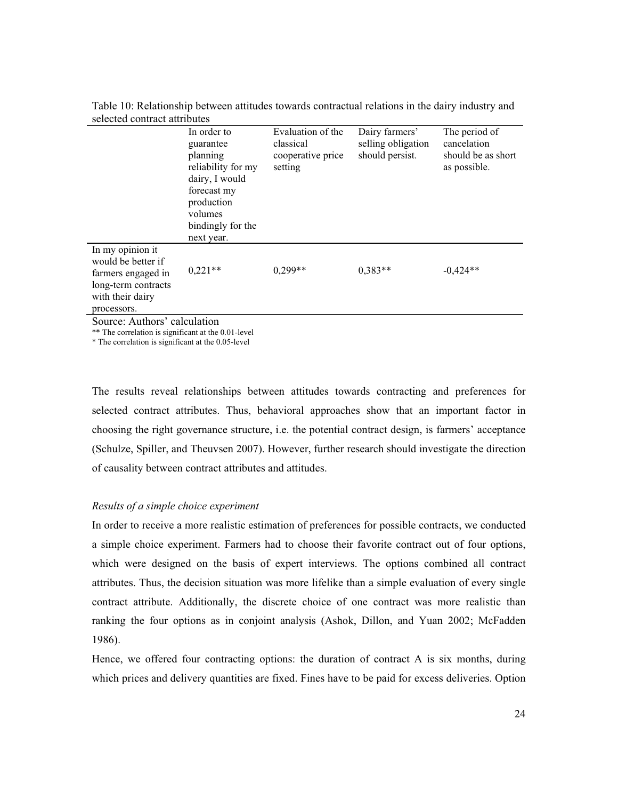|                                                                                                         | In order to<br>guarantee<br>planning<br>reliability for my<br>dairy, I would<br>forecast my<br>production<br>volumes<br>bindingly for the<br>next year. | Evaluation of the<br>classical<br>cooperative price<br>setting | Dairy farmers'<br>selling obligation<br>should persist. | The period of<br>cancelation<br>should be as short<br>as possible. |  |
|---------------------------------------------------------------------------------------------------------|---------------------------------------------------------------------------------------------------------------------------------------------------------|----------------------------------------------------------------|---------------------------------------------------------|--------------------------------------------------------------------|--|
| In my opinion it<br>would be better if<br>farmers engaged in<br>long-term contracts<br>with their dairy | $0,221**$                                                                                                                                               | $0,299**$                                                      | $0.383**$                                               | $-0,424**$                                                         |  |
| processors.                                                                                             |                                                                                                                                                         |                                                                |                                                         |                                                                    |  |
| Source: Authors' calculation                                                                            |                                                                                                                                                         |                                                                |                                                         |                                                                    |  |

Table 10: Relationship between attitudes towards contractual relations in the dairy industry and selected contract attributes

Source: Authors' calculation

\*\* The correlation is significant at the 0.01-level

\* The correlation is significant at the 0.05-level

The results reveal relationships between attitudes towards contracting and preferences for selected contract attributes. Thus, behavioral approaches show that an important factor in choosing the right governance structure, i.e. the potential contract design, is farmers' acceptance (Schulze, Spiller, and Theuvsen 2007). However, further research should investigate the direction of causality between contract attributes and attitudes.

#### *Results of a simple choice experiment*

In order to receive a more realistic estimation of preferences for possible contracts, we conducted a simple choice experiment. Farmers had to choose their favorite contract out of four options, which were designed on the basis of expert interviews. The options combined all contract attributes. Thus, the decision situation was more lifelike than a simple evaluation of every single contract attribute. Additionally, the discrete choice of one contract was more realistic than ranking the four options as in conjoint analysis (Ashok, Dillon, and Yuan 2002; McFadden 1986).

Hence, we offered four contracting options: the duration of contract A is six months, during which prices and delivery quantities are fixed. Fines have to be paid for excess deliveries. Option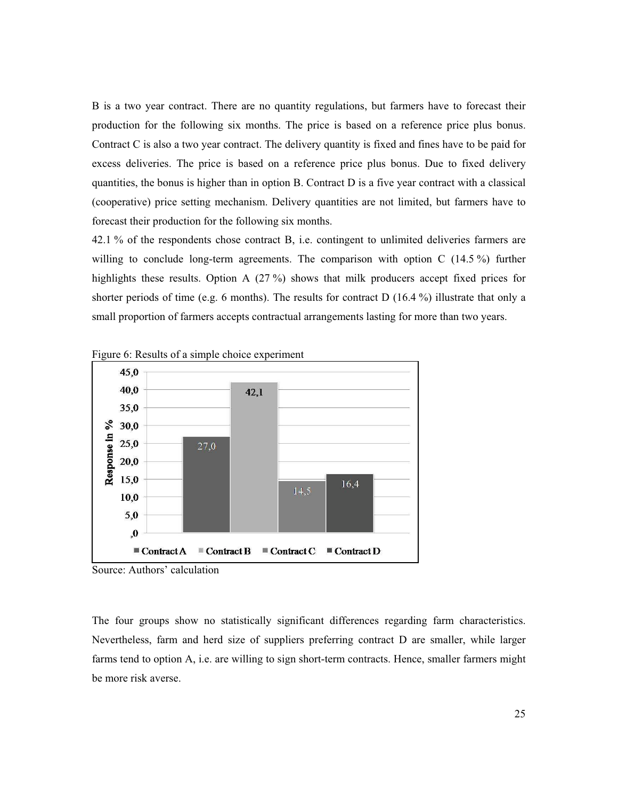B is a two year contract. There are no quantity regulations, but farmers have to forecast their production for the following six months. The price is based on a reference price plus bonus. Contract C is also a two year contract. The delivery quantity is fixed and fines have to be paid for excess deliveries. The price is based on a reference price plus bonus. Due to fixed delivery quantities, the bonus is higher than in option B. Contract D is a five year contract with a classical (cooperative) price setting mechanism. Delivery quantities are not limited, but farmers have to forecast their production for the following six months.

42.1 % of the respondents chose contract B, i.e. contingent to unlimited deliveries farmers are willing to conclude long-term agreements. The comparison with option C (14.5 %) further highlights these results. Option A (27 %) shows that milk producers accept fixed prices for shorter periods of time (e.g. 6 months). The results for contract D  $(16.4\%)$  illustrate that only a small proportion of farmers accepts contractual arrangements lasting for more than two years.







The four groups show no statistically significant differences regarding farm characteristics. Nevertheless, farm and herd size of suppliers preferring contract D are smaller, while larger farms tend to option A, i.e. are willing to sign short-term contracts. Hence, smaller farmers might be more risk averse.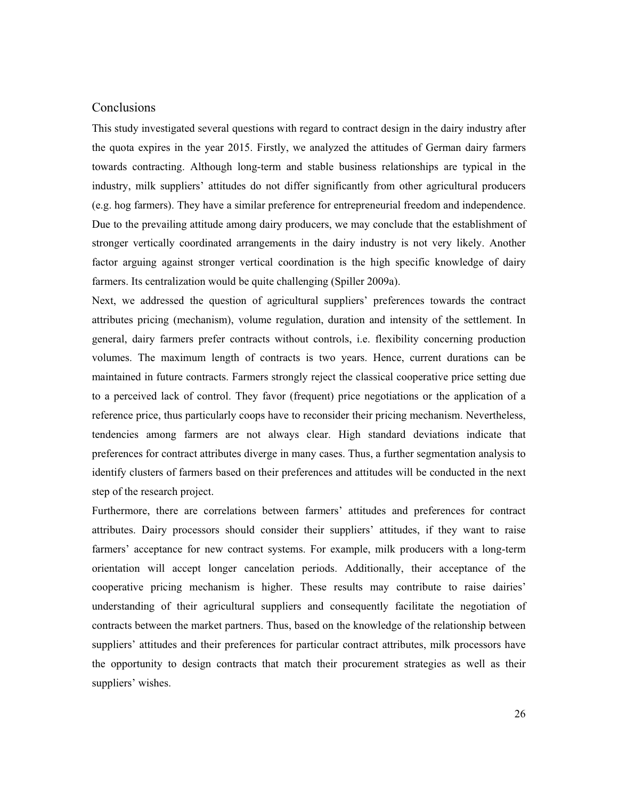# **Conclusions**

This study investigated several questions with regard to contract design in the dairy industry after the quota expires in the year 2015. Firstly, we analyzed the attitudes of German dairy farmers towards contracting. Although long-term and stable business relationships are typical in the industry, milk suppliers' attitudes do not differ significantly from other agricultural producers (e.g. hog farmers). They have a similar preference for entrepreneurial freedom and independence. Due to the prevailing attitude among dairy producers, we may conclude that the establishment of stronger vertically coordinated arrangements in the dairy industry is not very likely. Another factor arguing against stronger vertical coordination is the high specific knowledge of dairy farmers. Its centralization would be quite challenging (Spiller 2009a).

Next, we addressed the question of agricultural suppliers' preferences towards the contract attributes pricing (mechanism), volume regulation, duration and intensity of the settlement. In general, dairy farmers prefer contracts without controls, i.e. flexibility concerning production volumes. The maximum length of contracts is two years. Hence, current durations can be maintained in future contracts. Farmers strongly reject the classical cooperative price setting due to a perceived lack of control. They favor (frequent) price negotiations or the application of a reference price, thus particularly coops have to reconsider their pricing mechanism. Nevertheless, tendencies among farmers are not always clear. High standard deviations indicate that preferences for contract attributes diverge in many cases. Thus, a further segmentation analysis to identify clusters of farmers based on their preferences and attitudes will be conducted in the next step of the research project.

Furthermore, there are correlations between farmers' attitudes and preferences for contract attributes. Dairy processors should consider their suppliers' attitudes, if they want to raise farmers' acceptance for new contract systems. For example, milk producers with a long-term orientation will accept longer cancelation periods. Additionally, their acceptance of the cooperative pricing mechanism is higher. These results may contribute to raise dairies' understanding of their agricultural suppliers and consequently facilitate the negotiation of contracts between the market partners. Thus, based on the knowledge of the relationship between suppliers' attitudes and their preferences for particular contract attributes, milk processors have the opportunity to design contracts that match their procurement strategies as well as their suppliers' wishes.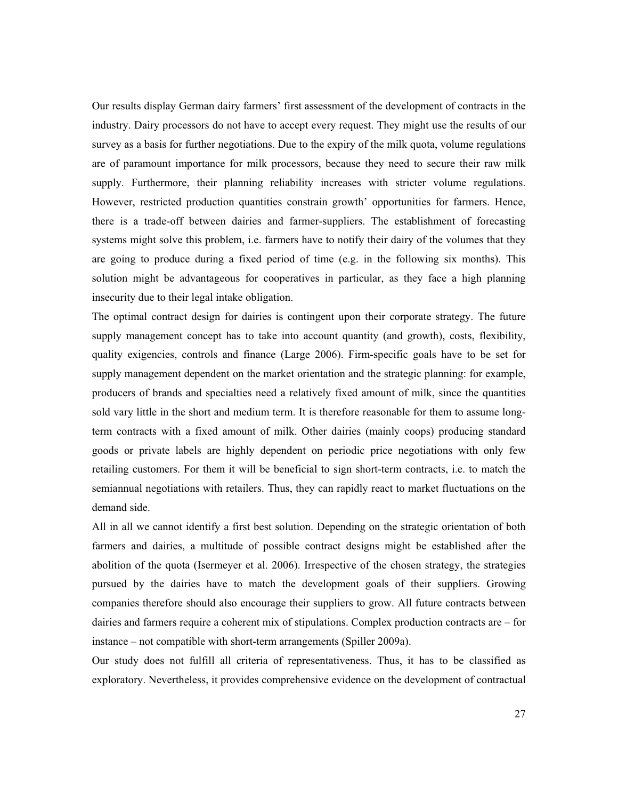Our results display German dairy farmers' first assessment of the development of contracts in the industry. Dairy processors do not have to accept every request. They might use the results of our survey as a basis for further negotiations. Due to the expiry of the milk quota, volume regulations are of paramount importance for milk processors, because they need to secure their raw milk supply. Furthermore, their planning reliability increases with stricter volume regulations. However, restricted production quantities constrain growth' opportunities for farmers. Hence, there is a trade-off between dairies and farmer-suppliers. The establishment of forecasting systems might solve this problem, i.e. farmers have to notify their dairy of the volumes that they are going to produce during a fixed period of time (e.g. in the following six months). This solution might be advantageous for cooperatives in particular, as they face a high planning insecurity due to their legal intake obligation.

The optimal contract design for dairies is contingent upon their corporate strategy. The future supply management concept has to take into account quantity (and growth), costs, flexibility, quality exigencies, controls and finance (Large 2006). Firm-specific goals have to be set for supply management dependent on the market orientation and the strategic planning: for example, producers of brands and specialties need a relatively fixed amount of milk, since the quantities sold vary little in the short and medium term. It is therefore reasonable for them to assume longterm contracts with a fixed amount of milk. Other dairies (mainly coops) producing standard goods or private labels are highly dependent on periodic price negotiations with only few retailing customers. For them it will be beneficial to sign short-term contracts, i.e. to match the semiannual negotiations with retailers. Thus, they can rapidly react to market fluctuations on the demand side.

All in all we cannot identify a first best solution. Depending on the strategic orientation of both farmers and dairies, a multitude of possible contract designs might be established after the abolition of the quota (Isermeyer et al. 2006). Irrespective of the chosen strategy, the strategies pursued by the dairies have to match the development goals of their suppliers. Growing companies therefore should also encourage their suppliers to grow. All future contracts between dairies and farmers require a coherent mix of stipulations. Complex production contracts are – for instance – not compatible with short-term arrangements (Spiller 2009a).

Our study does not fulfill all criteria of representativeness. Thus, it has to be classified as exploratory. Nevertheless, it provides comprehensive evidence on the development of contractual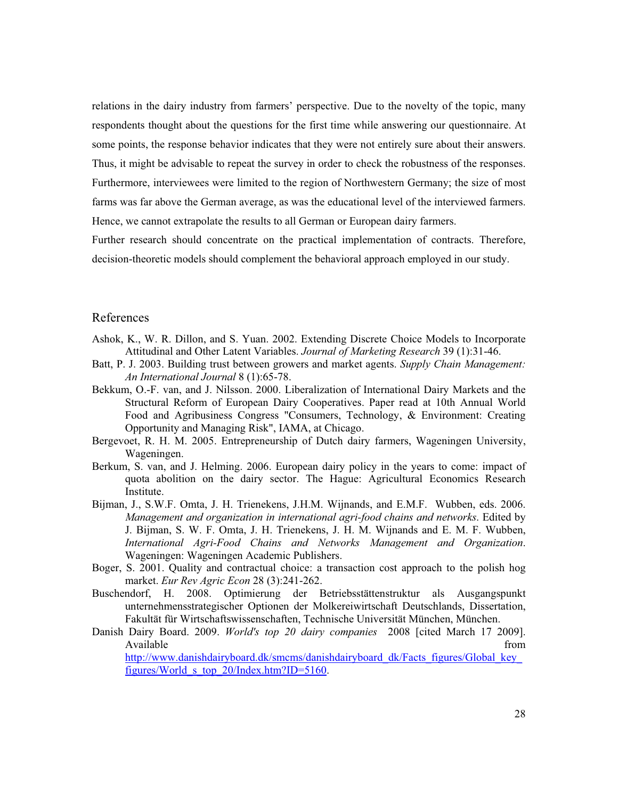relations in the dairy industry from farmers' perspective. Due to the novelty of the topic, many respondents thought about the questions for the first time while answering our questionnaire. At some points, the response behavior indicates that they were not entirely sure about their answers. Thus, it might be advisable to repeat the survey in order to check the robustness of the responses. Furthermore, interviewees were limited to the region of Northwestern Germany; the size of most farms was far above the German average, as was the educational level of the interviewed farmers. Hence, we cannot extrapolate the results to all German or European dairy farmers.

Further research should concentrate on the practical implementation of contracts. Therefore, decision-theoretic models should complement the behavioral approach employed in our study.

## References

- Ashok, K., W. R. Dillon, and S. Yuan. 2002. Extending Discrete Choice Models to Incorporate Attitudinal and Other Latent Variables. *Journal of Marketing Research* 39 (1):31-46.
- Batt, P. J. 2003. Building trust between growers and market agents. *Supply Chain Management: An International Journal* 8 (1):65-78.
- Bekkum, O.-F. van, and J. Nilsson. 2000. Liberalization of International Dairy Markets and the Structural Reform of European Dairy Cooperatives. Paper read at 10th Annual World Food and Agribusiness Congress "Consumers, Technology, & Environment: Creating Opportunity and Managing Risk", IAMA, at Chicago.
- Bergevoet, R. H. M. 2005. Entrepreneurship of Dutch dairy farmers, Wageningen University, Wageningen.
- Berkum, S. van, and J. Helming. 2006. European dairy policy in the years to come: impact of quota abolition on the dairy sector. The Hague: Agricultural Economics Research Institute.
- Bijman, J., S.W.F. Omta, J. H. Trienekens, J.H.M. Wijnands, and E.M.F. Wubben, eds. 2006. *Management and organization in international agri-food chains and networks*. Edited by J. Bijman, S. W. F. Omta, J. H. Trienekens, J. H. M. Wijnands and E. M. F. Wubben, *International Agri-Food Chains and Networks Management and Organization*. Wageningen: Wageningen Academic Publishers.
- Boger, S. 2001. Quality and contractual choice: a transaction cost approach to the polish hog market. *Eur Rev Agric Econ* 28 (3):241-262.
- Buschendorf, H. 2008. Optimierung der Betriebsstättenstruktur als Ausgangspunkt unternehmensstrategischer Optionen der Molkereiwirtschaft Deutschlands, Dissertation, Fakultät für Wirtschaftswissenschaften, Technische Universität München, München.
- Danish Dairy Board. 2009. *World's top 20 dairy companies* 2008 [cited March 17 2009]. Available from the state of the state of the state of the state of the state of the state of the state of the state of the state of the state of the state of the state of the state of the state of the state of the state of http://www.danishdairyboard.dk/smcms/danishdairyboard\_dk/Facts\_figures/Global\_key figures/World\_s\_top\_20/Index.htm?ID=5160.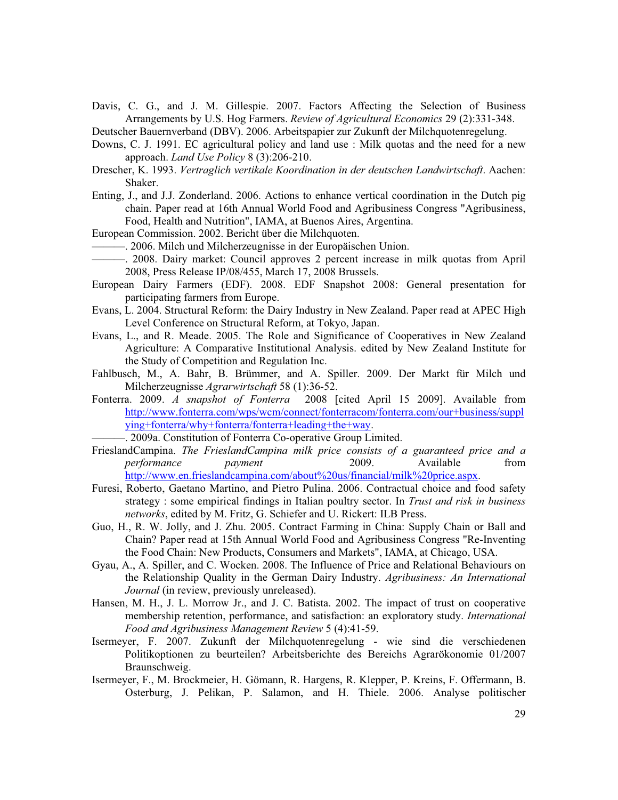Davis, C. G., and J. M. Gillespie. 2007. Factors Affecting the Selection of Business Arrangements by U.S. Hog Farmers. *Review of Agricultural Economics* 29 (2):331-348.

Deutscher Bauernverband (DBV). 2006. Arbeitspapier zur Zukunft der Milchquotenregelung.

- Downs, C. J. 1991. EC agricultural policy and land use : Milk quotas and the need for a new approach. *Land Use Policy* 8 (3):206-210.
- Drescher, K. 1993. *Vertraglich vertikale Koordination in der deutschen Landwirtschaft*. Aachen: Shaker.
- Enting, J., and J.J. Zonderland. 2006. Actions to enhance vertical coordination in the Dutch pig chain. Paper read at 16th Annual World Food and Agribusiness Congress "Agribusiness, Food, Health and Nutrition", IAMA, at Buenos Aires, Argentina.
- European Commission. 2002. Bericht über die Milchquoten.
	- ———. 2006. Milch und Milcherzeugnisse in der Europäischen Union.
	- ———. 2008. Dairy market: Council approves 2 percent increase in milk quotas from April 2008, Press Release IP/08/455, March 17, 2008 Brussels.
- European Dairy Farmers (EDF). 2008. EDF Snapshot 2008: General presentation for participating farmers from Europe.
- Evans, L. 2004. Structural Reform: the Dairy Industry in New Zealand. Paper read at APEC High Level Conference on Structural Reform, at Tokyo, Japan.
- Evans, L., and R. Meade. 2005. The Role and Significance of Cooperatives in New Zealand Agriculture: A Comparative Institutional Analysis. edited by New Zealand Institute for the Study of Competition and Regulation Inc.
- Fahlbusch, M., A. Bahr, B. Brümmer, and A. Spiller. 2009. Der Markt für Milch und Milcherzeugnisse *Agrarwirtschaft* 58 (1):36-52.
- Fonterra. 2009. *A snapshot of Fonterra* 2008 [cited April 15 2009]. Available from http://www.fonterra.com/wps/wcm/connect/fonterracom/fonterra.com/our+business/suppl ying+fonterra/why+fonterra/fonterra+leading+the+way.
	- ———. 2009a. Constitution of Fonterra Co-operative Group Limited.
- FrieslandCampina. *The FrieslandCampina milk price consists of a guaranteed price and a performance payment* 2009. Available from http://www.en.frieslandcampina.com/about%20us/financial/milk%20price.aspx.
- Furesi, Roberto, Gaetano Martino, and Pietro Pulina. 2006. Contractual choice and food safety strategy : some empirical findings in Italian poultry sector. In *Trust and risk in business networks*, edited by M. Fritz, G. Schiefer and U. Rickert: ILB Press.
- Guo, H., R. W. Jolly, and J. Zhu. 2005. Contract Farming in China: Supply Chain or Ball and Chain? Paper read at 15th Annual World Food and Agribusiness Congress "Re-Inventing the Food Chain: New Products, Consumers and Markets", IAMA, at Chicago, USA.
- Gyau, A., A. Spiller, and C. Wocken. 2008. The Influence of Price and Relational Behaviours on the Relationship Quality in the German Dairy Industry. *Agribusiness: An International Journal* (in review, previously unreleased).
- Hansen, M. H., J. L. Morrow Jr., and J. C. Batista. 2002. The impact of trust on cooperative membership retention, performance, and satisfaction: an exploratory study. *International Food and Agribusiness Management Review* 5 (4):41-59.
- Isermeyer, F. 2007. Zukunft der Milchquotenregelung wie sind die verschiedenen Politikoptionen zu beurteilen? Arbeitsberichte des Bereichs Agrarökonomie 01/2007 Braunschweig.
- Isermeyer, F., M. Brockmeier, H. Gömann, R. Hargens, R. Klepper, P. Kreins, F. Offermann, B. Osterburg, J. Pelikan, P. Salamon, and H. Thiele. 2006. Analyse politischer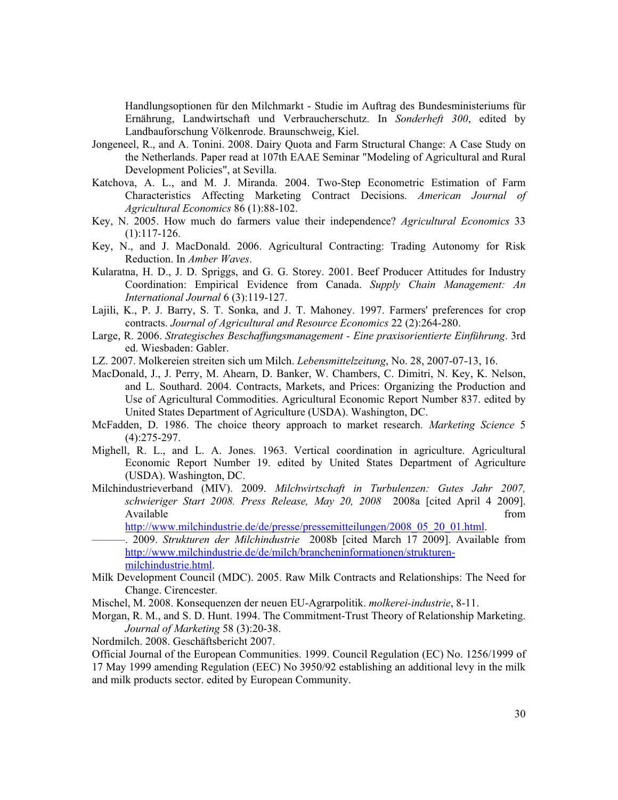Handlungsoptionen für den Milchmarkt - Studie im Auftrag des Bundesministeriums für Ernährung, Landwirtschaft und Verbraucherschutz. In *Sonderheft 300*, edited by Landbauforschung Völkenrode. Braunschweig, Kiel.

- Jongeneel, R., and A. Tonini. 2008. Dairy Quota and Farm Structural Change: A Case Study on the Netherlands. Paper read at 107th EAAE Seminar "Modeling of Agricultural and Rural Development Policies", at Sevilla.
- Katchova, A. L., and M. J. Miranda. 2004. Two-Step Econometric Estimation of Farm Characteristics Affecting Marketing Contract Decisions. *American Journal of Agricultural Economics* 86 (1):88-102.
- Key, N. 2005. How much do farmers value their independence? *Agricultural Economics* 33 (1):117-126.
- Key, N., and J. MacDonald. 2006. Agricultural Contracting: Trading Autonomy for Risk Reduction. In *Amber Waves*.
- Kularatna, H. D., J. D. Spriggs, and G. G. Storey. 2001. Beef Producer Attitudes for Industry Coordination: Empirical Evidence from Canada. *Supply Chain Management: An International Journal* 6 (3):119-127.
- Lajili, K., P. J. Barry, S. T. Sonka, and J. T. Mahoney. 1997. Farmers' preferences for crop contracts. *Journal of Agricultural and Resource Economics* 22 (2):264-280.
- Large, R. 2006. *Strategisches Beschaffungsmanagement Eine praxisorientierte Einführung*. 3rd ed. Wiesbaden: Gabler.
- LZ. 2007. Molkereien streiten sich um Milch. *Lebensmittelzeitung*, No. 28, 2007-07-13, 16.
- MacDonald, J., J. Perry, M. Ahearn, D. Banker, W. Chambers, C. Dimitri, N. Key, K. Nelson, and L. Southard. 2004. Contracts, Markets, and Prices: Organizing the Production and Use of Agricultural Commodities. Agricultural Economic Report Number 837. edited by United States Department of Agriculture (USDA). Washington, DC.
- McFadden, D. 1986. The choice theory approach to market research. *Marketing Science* 5 (4):275-297.
- Mighell, R. L., and L. A. Jones. 1963. Vertical coordination in agriculture. Agricultural Economic Report Number 19. edited by United States Department of Agriculture (USDA). Washington, DC.
- Milchindustrieverband (MIV). 2009. *Milchwirtschaft in Turbulenzen: Gutes Jahr 2007, schwieriger Start 2008. Press Release, May 20, 2008* 2008a [cited April 4 2009]. Available from the state of  $\sim$  from the state of  $\sim$  from the state of  $\sim$  from the state of  $\sim$  from the state of  $\sim$  from the state of  $\sim$  from the state of  $\sim$  from the state of  $\sim$  from the state of  $\sim$  from

http://www.milchindustrie.de/de/presse/pressemitteilungen/2008\_05\_20\_01.html.

- ———. 2009. *Strukturen der Milchindustrie* 2008b [cited March 17 2009]. Available from http://www.milchindustrie.de/de/milch/brancheninformationen/strukturenmilchindustrie.html.
- Milk Development Council (MDC). 2005. Raw Milk Contracts and Relationships: The Need for Change. Cirencester.
- Mischel, M. 2008. Konsequenzen der neuen EU-Agrarpolitik. *molkerei-industrie*, 8-11.
- Morgan, R. M., and S. D. Hunt. 1994. The Commitment-Trust Theory of Relationship Marketing. *Journal of Marketing* 58 (3):20-38.
- Nordmilch. 2008. Geschäftsbericht 2007.

Official Journal of the European Communities. 1999. Council Regulation (EC) No. 1256/1999 of 17 May 1999 amending Regulation (EEC) No 3950/92 establishing an additional levy in the milk and milk products sector. edited by European Community.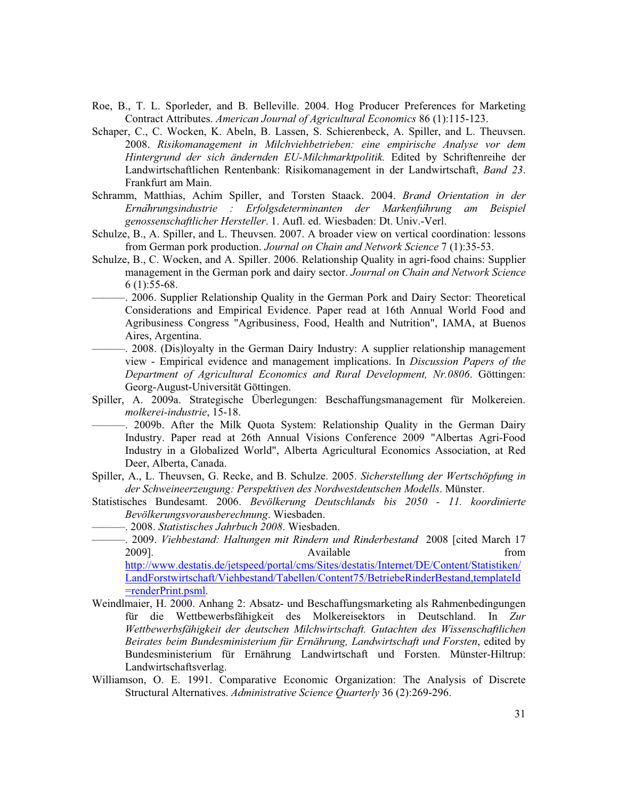- Roe, B., T. L. Sporleder, and B. Belleville. 2004. Hog Producer Preferences for Marketing Contract Attributes. *American Journal of Agricultural Economics* 86 (1):115-123.
- Schaper, C., C. Wocken, K. Abeln, B. Lassen, S. Schierenbeck, A. Spiller, and L. Theuvsen. 2008. *Risikomanagement in Milchviehbetrieben: eine empirische Analyse vor dem Hintergrund der sich ändernden EU-Milchmarktpolitik.* Edited by Schriftenreihe der Landwirtschaftlichen Rentenbank: Risikomanagement in der Landwirtschaft, *Band 23*. Frankfurt am Main.
- Schramm, Matthias, Achim Spiller, and Torsten Staack. 2004. *Brand Orientation in der Erna*ሷ*hrungsindustrie : Erfolgsdeterminanten der Markenfu*ሷ*hrung am Beispiel genossenschaftlicher Hersteller*. 1. Aufl. ed. Wiesbaden: Dt. Univ.-Verl.
- Schulze, B., A. Spiller, and L. Theuvsen. 2007. A broader view on vertical coordination: lessons from German pork production. *Journal on Chain and Network Science* 7 (1):35-53.
- Schulze, B., C. Wocken, and A. Spiller. 2006. Relationship Quality in agri-food chains: Supplier management in the German pork and dairy sector. *Journal on Chain and Network Science* 6 (1):55-68.
	- ———. 2006. Supplier Relationship Quality in the German Pork and Dairy Sector: Theoretical Considerations and Empirical Evidence. Paper read at 16th Annual World Food and Agribusiness Congress "Agribusiness, Food, Health and Nutrition", IAMA, at Buenos Aires, Argentina.
		- -. 2008. (Dis)loyalty in the German Dairy Industry: A supplier relationship management view - Empirical evidence and management implications. In *Discussion Papers of the Department of Agricultural Economics and Rural Development, Nr.0806*. Göttingen: Georg-August-Universität Göttingen.
- Spiller, A. 2009a. Strategische Überlegungen: Beschaffungsmanagement für Molkereien. *molkerei-industrie*, 15-18.
	- -. 2009b. After the Milk Quota System: Relationship Quality in the German Dairy Industry. Paper read at 26th Annual Visions Conference 2009 "Albertas Agri-Food Industry in a Globalized World", Alberta Agricultural Economics Association, at Red Deer, Alberta, Canada.
- Spiller, A., L. Theuvsen, G. Recke, and B. Schulze. 2005. *Sicherstellung der Wertschöpfung in der Schweineerzeugung: Perspektiven des Nordwestdeutschen Modells*. Münster.
- Statistisches Bundesamt. 2006. *Bevölkerung Deutschlands bis 2050 11. koordinierte Bevölkerungsvorausberechnung*. Wiesbaden.
	- ———. 2008. *Statistisches Jahrbuch 2008*. Wiesbaden.
	- ———. 2009. *Viehbestand: Haltungen mit Rindern und Rinderbestand* 2008 [cited March 17 2009]. **Constant in the absolute of the Constant in the Constant of the Constant of the Constant of the Constant of the Constant of the Constant of the Constant of the Constant of the Constant of the Constant of the Consta**

http://www.destatis.de/jetspeed/portal/cms/Sites/destatis/Internet/DE/Content/Statistiken/ LandForstwirtschaft/Viehbestand/Tabellen/Content75/BetriebeRinderBestand,templateId =renderPrint.psml.

- Weindlmaier, H. 2000. Anhang 2: Absatz- und Beschaffungsmarketing als Rahmenbedingungen für die Wettbewerbsfähigkeit des Molkereisektors in Deutschland. In *Zur Wettbewerbsfähigkeit der deutschen Milchwirtschaft. Gutachten des Wissenschaftlichen Beirates beim Bundesministerium für Ernährung, Landwirtschaft und Forsten*, edited by Bundesministerium für Ernährung Landwirtschaft und Forsten. Münster-Hiltrup: Landwirtschaftsverlag.
- Williamson, O. E. 1991. Comparative Economic Organization: The Analysis of Discrete Structural Alternatives. *Administrative Science Quarterly* 36 (2):269-296.